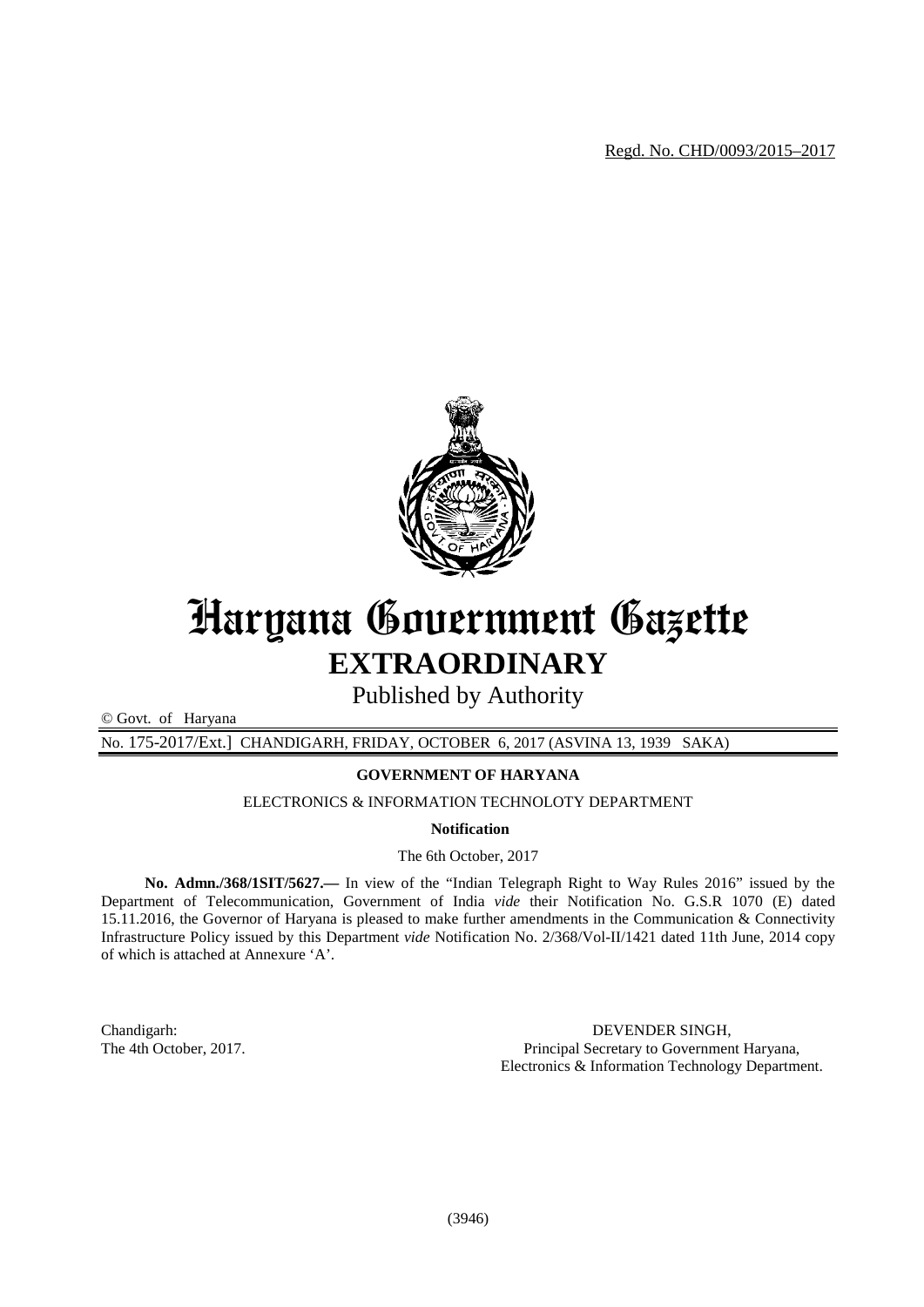Regd. No. CHD/0093/2015–2017



# Haryana Government Gazette **EXTRAORDINARY**

Published by Authority

© Govt. of Haryana

No. 175-2017/Ext.] CHANDIGARH, FRIDAY, OCTOBER 6, 2017 (ASVINA 13, 1939 SAKA)

# **GOVERNMENT OF HARYANA**

ELECTRONICS & INFORMATION TECHNOLOTY DEPARTMENT

**Notification**

The 6th October, 2017

**No. Admn./368/1SIT/5627.—** In view of the "Indian Telegraph Right to Way Rules 2016" issued by the Department of Telecommunication, Government of India *vide* their Notification No. G.S.R 1070 (E) dated 15.11.2016, the Governor of Haryana is pleased to make further amendments in the Communication & Connectivity Infrastructure Policy issued by this Department *vide* Notification No. 2/368/Vol-II/1421 dated 11th June, 2014 copy of which is attached at Annexure 'A'.

Chandigarh: DEVENDER SINGH,<br>The 4th October, 2017. The 4th October, 2017. Principal Secretary to Government Haryana, Electronics & Information Technology Department.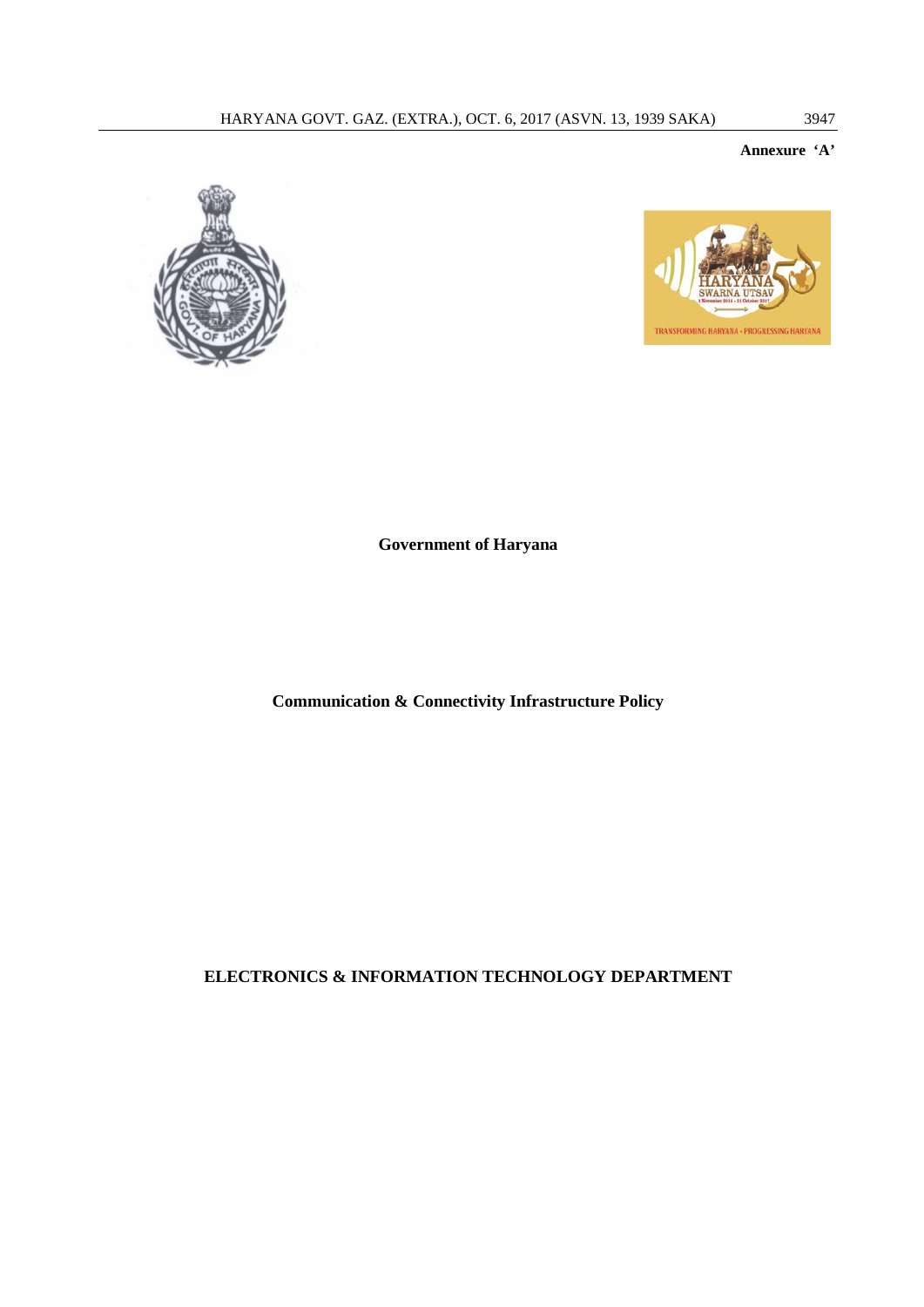# **Annexure 'A'**





**Government of Haryana**

**Communication & Connectivity Infrastructure Policy** 

**ELECTRONICS & INFORMATION TECHNOLOGY DEPARTMENT**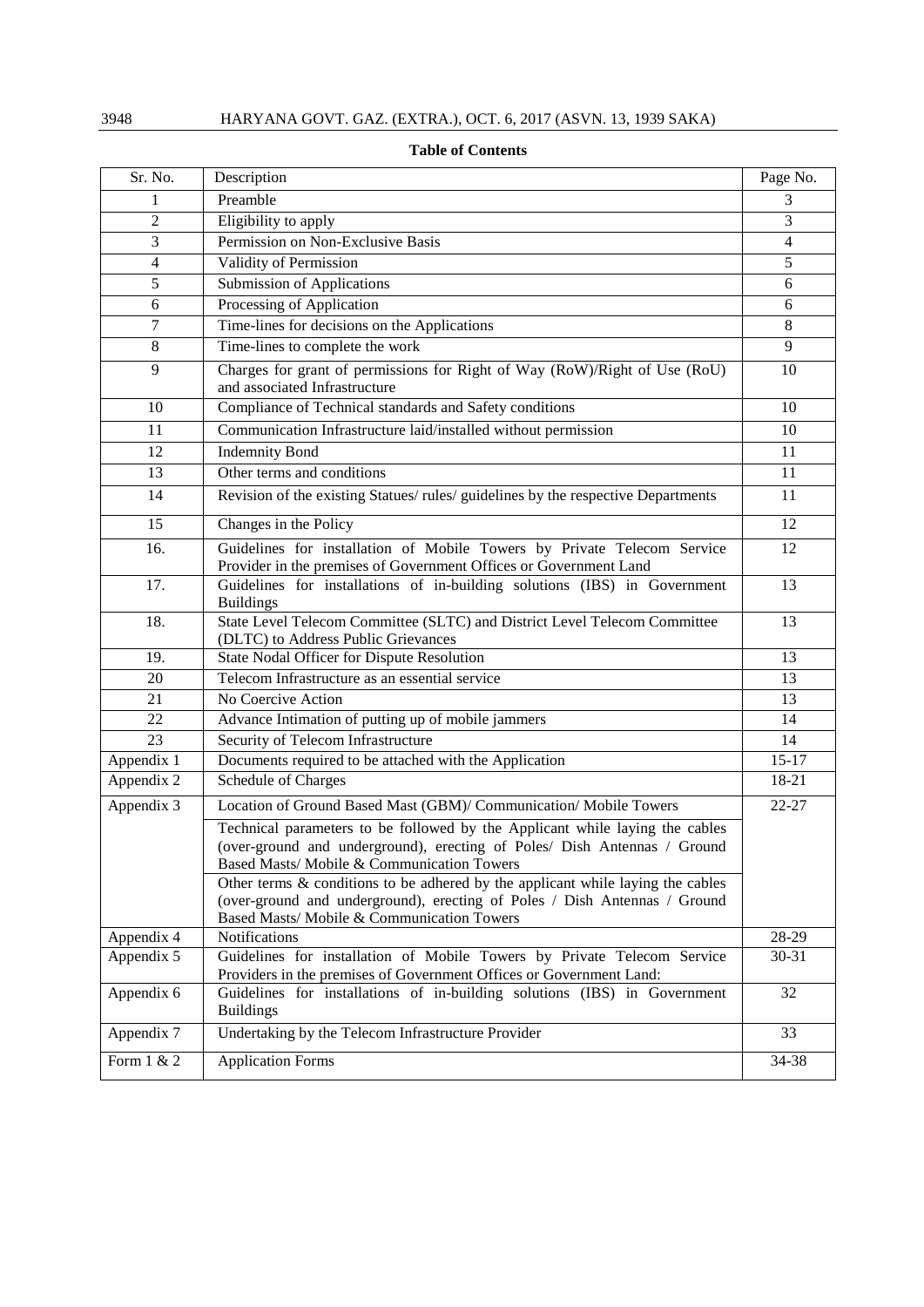| Sr. No.                 | Description                                                                                                                                                                                                                                                                                                                                                               | Page No.       |
|-------------------------|---------------------------------------------------------------------------------------------------------------------------------------------------------------------------------------------------------------------------------------------------------------------------------------------------------------------------------------------------------------------------|----------------|
| 1                       | Preamble                                                                                                                                                                                                                                                                                                                                                                  | 3              |
| $\sqrt{2}$              | Eligibility to apply                                                                                                                                                                                                                                                                                                                                                      | 3              |
| 3                       | Permission on Non-Exclusive Basis                                                                                                                                                                                                                                                                                                                                         | $\overline{4}$ |
| 4                       | Validity of Permission                                                                                                                                                                                                                                                                                                                                                    | 5              |
| 5                       | <b>Submission of Applications</b>                                                                                                                                                                                                                                                                                                                                         | 6              |
| 6                       | Processing of Application                                                                                                                                                                                                                                                                                                                                                 | 6              |
| 7                       | Time-lines for decisions on the Applications                                                                                                                                                                                                                                                                                                                              | 8              |
| $8\,$                   | Time-lines to complete the work                                                                                                                                                                                                                                                                                                                                           | $\overline{9}$ |
| 9                       | Charges for grant of permissions for Right of Way (RoW)/Right of Use (RoU)<br>and associated Infrastructure                                                                                                                                                                                                                                                               | 10             |
| 10                      | Compliance of Technical standards and Safety conditions                                                                                                                                                                                                                                                                                                                   | 10             |
| 11                      | Communication Infrastructure laid/installed without permission                                                                                                                                                                                                                                                                                                            | 10             |
| 12                      | <b>Indemnity Bond</b>                                                                                                                                                                                                                                                                                                                                                     | 11             |
| 13                      | Other terms and conditions                                                                                                                                                                                                                                                                                                                                                | 11             |
| 14                      | Revision of the existing Statues/ rules/ guidelines by the respective Departments                                                                                                                                                                                                                                                                                         | 11             |
| 15                      | Changes in the Policy                                                                                                                                                                                                                                                                                                                                                     | 12             |
| 16.                     | Guidelines for installation of Mobile Towers by Private Telecom Service<br>Provider in the premises of Government Offices or Government Land                                                                                                                                                                                                                              | 12             |
| 17.                     | Guidelines for installations of in-building solutions (IBS) in Government<br><b>Buildings</b>                                                                                                                                                                                                                                                                             | 13             |
| 18.                     | State Level Telecom Committee (SLTC) and District Level Telecom Committee<br>(DLTC) to Address Public Grievances                                                                                                                                                                                                                                                          | 13             |
| 19.                     | State Nodal Officer for Dispute Resolution                                                                                                                                                                                                                                                                                                                                | 13             |
| 20                      | Telecom Infrastructure as an essential service                                                                                                                                                                                                                                                                                                                            | 13             |
| 21                      | No Coercive Action                                                                                                                                                                                                                                                                                                                                                        | 13             |
| 22                      | Advance Intimation of putting up of mobile jammers                                                                                                                                                                                                                                                                                                                        | 14             |
| 23                      | Security of Telecom Infrastructure                                                                                                                                                                                                                                                                                                                                        | 14             |
| Appendix 1              | Documents required to be attached with the Application                                                                                                                                                                                                                                                                                                                    | $15 - 17$      |
| Appendix 2              | Schedule of Charges                                                                                                                                                                                                                                                                                                                                                       | 18-21          |
| Appendix $\overline{3}$ | Location of Ground Based Mast (GBM)/ Communication/ Mobile Towers                                                                                                                                                                                                                                                                                                         | $22 - 27$      |
|                         | Technical parameters to be followed by the Applicant while laying the cables<br>(over-ground and underground), erecting of Poles/ Dish Antennas / Ground<br>Based Masts/ Mobile & Communication Towers<br>Other terms $\&$ conditions to be adhered by the applicant while laying the cables<br>(over-ground and underground), erecting of Poles / Dish Antennas / Ground |                |
|                         | Based Masts/ Mobile & Communication Towers                                                                                                                                                                                                                                                                                                                                |                |
| Appendix 4              | Notifications                                                                                                                                                                                                                                                                                                                                                             | 28-29          |
| Appendix 5              | Guidelines for installation of Mobile Towers by Private Telecom Service                                                                                                                                                                                                                                                                                                   | 30-31          |
|                         | Providers in the premises of Government Offices or Government Land:                                                                                                                                                                                                                                                                                                       |                |
| Appendix 6              | Guidelines for installations of in-building solutions (IBS) in Government<br><b>Buildings</b>                                                                                                                                                                                                                                                                             | 32             |
| Appendix 7              | Undertaking by the Telecom Infrastructure Provider                                                                                                                                                                                                                                                                                                                        | 33             |
| Form 1 & 2              | <b>Application Forms</b>                                                                                                                                                                                                                                                                                                                                                  | 34-38          |

# **Table of Contents**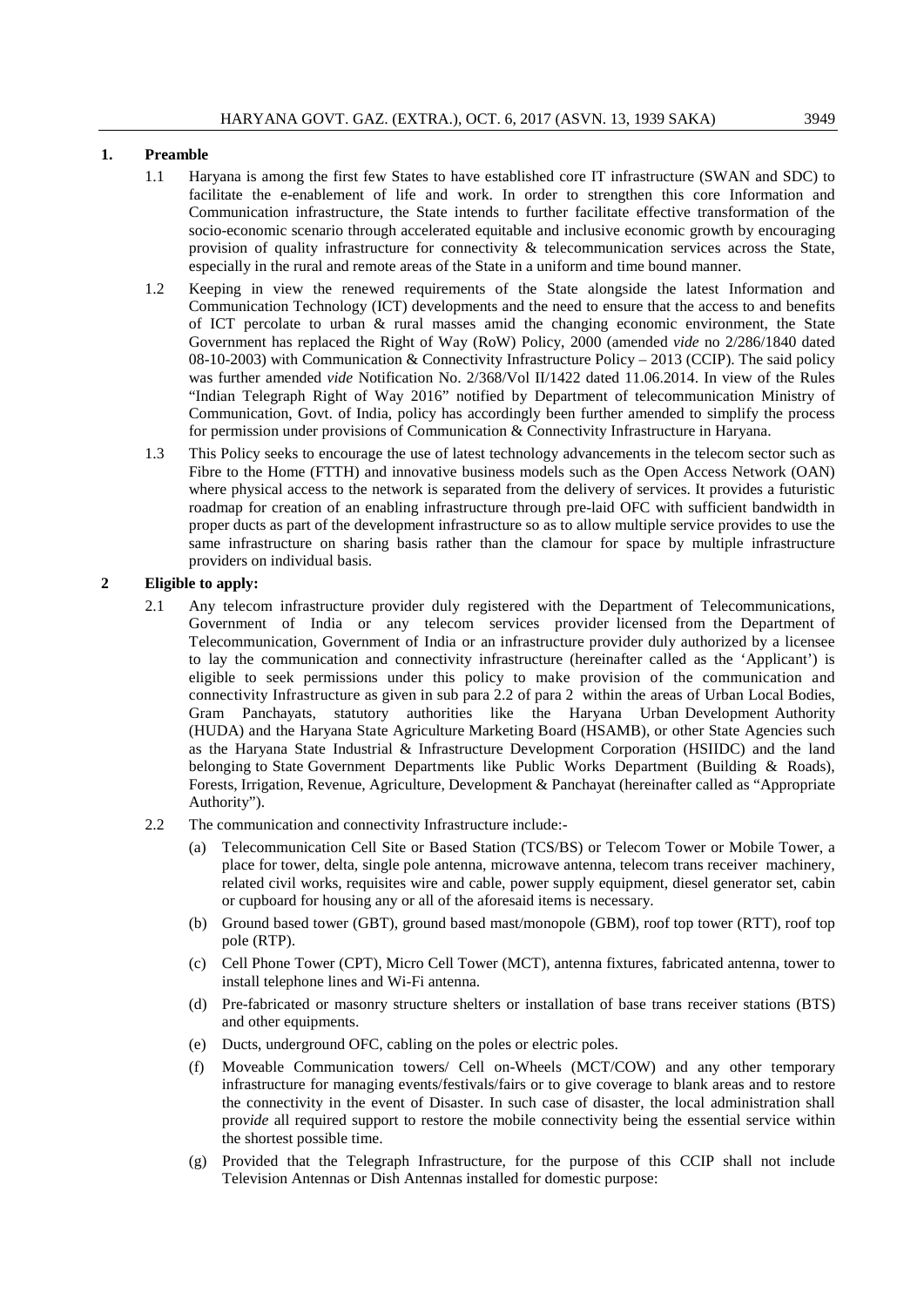# **1. Preamble**

- 1.1 Haryana is among the first few States to have established core IT infrastructure (SWAN and SDC) to facilitate the e-enablement of life and work. In order to strengthen this core Information and Communication infrastructure, the State intends to further facilitate effective transformation of the socio-economic scenario through accelerated equitable and inclusive economic growth by encouraging provision of quality infrastructure for connectivity & telecommunication services across the State, especially in the rural and remote areas of the State in a uniform and time bound manner.
- 1.2 Keeping in view the renewed requirements of the State alongside the latest Information and Communication Technology (ICT) developments and the need to ensure that the access to and benefits of ICT percolate to urban & rural masses amid the changing economic environment, the State Government has replaced the Right of Way (RoW) Policy, 2000 (amended *vide* no 2/286/1840 dated 08-10-2003) with Communication & Connectivity Infrastructure Policy – 2013 (CCIP). The said policy was further amended *vide* Notification No. 2/368/Vol II/1422 dated 11.06.2014. In view of the Rules "Indian Telegraph Right of Way 2016" notified by Department of telecommunication Ministry of Communication, Govt. of India, policy has accordingly been further amended to simplify the process for permission under provisions of Communication & Connectivity Infrastructure in Haryana.
- 1.3 This Policy seeks to encourage the use of latest technology advancements in the telecom sector such as Fibre to the Home (FTTH) and innovative business models such as the Open Access Network (OAN) where physical access to the network is separated from the delivery of services. It provides a futuristic roadmap for creation of an enabling infrastructure through pre-laid OFC with sufficient bandwidth in proper ducts as part of the development infrastructure so as to allow multiple service provides to use the same infrastructure on sharing basis rather than the clamour for space by multiple infrastructure providers on individual basis.

# **2 Eligible to apply:**

- 2.1 Any telecom infrastructure provider duly registered with the Department of Telecommunications, Government of India or any telecom services provider licensed from the Department of Telecommunication, Government of India or an infrastructure provider duly authorized by a licensee to lay the communication and connectivity infrastructure (hereinafter called as the 'Applicant') is eligible to seek permissions under this policy to make provision of the communication and connectivity Infrastructure as given in sub para 2.2 of para 2 within the areas of Urban Local Bodies, Gram Panchayats, statutory authorities like the Haryana Urban Development Authority (HUDA) and the Haryana State Agriculture Marketing Board (HSAMB), or other State Agencies such as the Haryana State Industrial & Infrastructure Development Corporation (HSIIDC) and the land belonging to State Government Departments like Public Works Department (Building & Roads), Forests, Irrigation, Revenue, Agriculture, Development & Panchayat (hereinafter called as "Appropriate Authority").
- 2.2 The communication and connectivity Infrastructure include:-
	- (a) Telecommunication Cell Site or Based Station (TCS/BS) or Telecom Tower or Mobile Tower, a place for tower, delta, single pole antenna, microwave antenna, telecom trans receiver machinery, related civil works, requisites wire and cable, power supply equipment, diesel generator set, cabin or cupboard for housing any or all of the aforesaid items is necessary.
	- (b) Ground based tower (GBT), ground based mast/monopole (GBM), roof top tower (RTT), roof top pole (RTP).
	- (c) Cell Phone Tower (CPT), Micro Cell Tower (MCT), antenna fixtures, fabricated antenna, tower to install telephone lines and Wi-Fi antenna.
	- (d) Pre-fabricated or masonry structure shelters or installation of base trans receiver stations (BTS) and other equipments.
	- (e) Ducts, underground OFC, cabling on the poles or electric poles.
	- (f) Moveable Communication towers/ Cell on-Wheels (MCT/COW) and any other temporary infrastructure for managing events/festivals/fairs or to give coverage to blank areas and to restore the connectivity in the event of Disaster. In such case of disaster, the local administration shall pro*vide* all required support to restore the mobile connectivity being the essential service within the shortest possible time.
	- (g) Provided that the Telegraph Infrastructure, for the purpose of this CCIP shall not include Television Antennas or Dish Antennas installed for domestic purpose: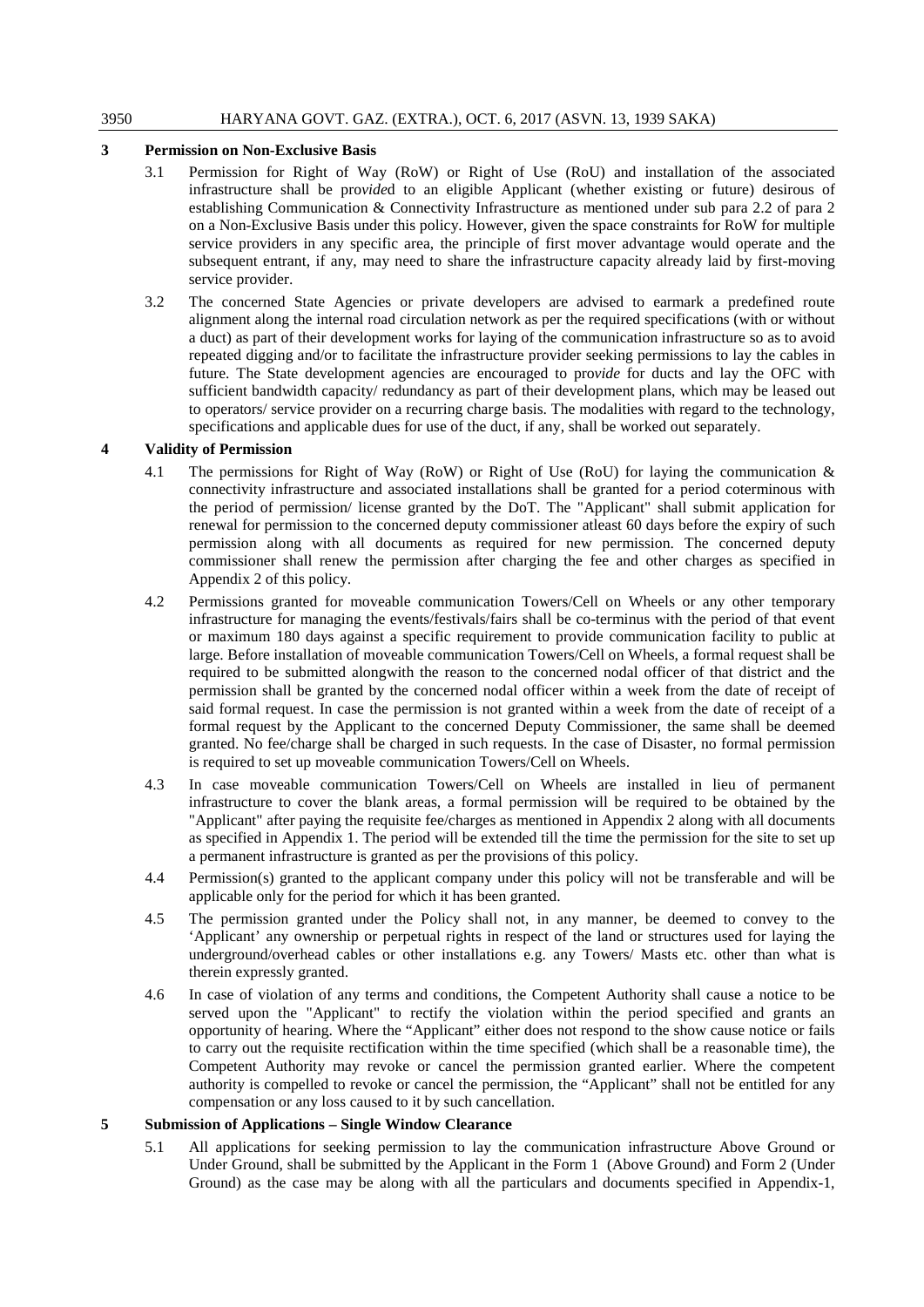# **3 Permission on Non-Exclusive Basis**

- 3.1 Permission for Right of Way (RoW) or Right of Use (RoU) and installation of the associated infrastructure shall be pro*vide*d to an eligible Applicant (whether existing or future) desirous of establishing Communication & Connectivity Infrastructure as mentioned under sub para 2.2 of para 2 on a Non-Exclusive Basis under this policy. However, given the space constraints for RoW for multiple service providers in any specific area, the principle of first mover advantage would operate and the subsequent entrant, if any, may need to share the infrastructure capacity already laid by first-moving service provider.
- 3.2 The concerned State Agencies or private developers are advised to earmark a predefined route alignment along the internal road circulation network as per the required specifications (with or without a duct) as part of their development works for laying of the communication infrastructure so as to avoid repeated digging and/or to facilitate the infrastructure provider seeking permissions to lay the cables in future. The State development agencies are encouraged to pro*vide* for ducts and lay the OFC with sufficient bandwidth capacity/ redundancy as part of their development plans, which may be leased out to operators/ service provider on a recurring charge basis. The modalities with regard to the technology, specifications and applicable dues for use of the duct, if any, shall be worked out separately.

# **4 Validity of Permission**

- 4.1 The permissions for Right of Way (RoW) or Right of Use (RoU) for laying the communication & connectivity infrastructure and associated installations shall be granted for a period coterminous with the period of permission/ license granted by the DoT. The "Applicant" shall submit application for renewal for permission to the concerned deputy commissioner atleast 60 days before the expiry of such permission along with all documents as required for new permission. The concerned deputy commissioner shall renew the permission after charging the fee and other charges as specified in Appendix 2 of this policy.
- 4.2 Permissions granted for moveable communication Towers/Cell on Wheels or any other temporary infrastructure for managing the events/festivals/fairs shall be co-terminus with the period of that event or maximum 180 days against a specific requirement to provide communication facility to public at large. Before installation of moveable communication Towers/Cell on Wheels, a formal request shall be required to be submitted alongwith the reason to the concerned nodal officer of that district and the permission shall be granted by the concerned nodal officer within a week from the date of receipt of said formal request. In case the permission is not granted within a week from the date of receipt of a formal request by the Applicant to the concerned Deputy Commissioner, the same shall be deemed granted. No fee/charge shall be charged in such requests. In the case of Disaster, no formal permission is required to set up moveable communication Towers/Cell on Wheels.
- 4.3 In case moveable communication Towers/Cell on Wheels are installed in lieu of permanent infrastructure to cover the blank areas, a formal permission will be required to be obtained by the "Applicant" after paying the requisite fee/charges as mentioned in Appendix 2 along with all documents as specified in Appendix 1. The period will be extended till the time the permission for the site to set up a permanent infrastructure is granted as per the provisions of this policy.
- 4.4 Permission(s) granted to the applicant company under this policy will not be transferable and will be applicable only for the period for which it has been granted.
- 4.5 The permission granted under the Policy shall not, in any manner, be deemed to convey to the 'Applicant' any ownership or perpetual rights in respect of the land or structures used for laying the underground/overhead cables or other installations e.g. any Towers/ Masts etc. other than what is therein expressly granted.
- 4.6 In case of violation of any terms and conditions, the Competent Authority shall cause a notice to be served upon the "Applicant" to rectify the violation within the period specified and grants an opportunity of hearing. Where the "Applicant" either does not respond to the show cause notice or fails to carry out the requisite rectification within the time specified (which shall be a reasonable time), the Competent Authority may revoke or cancel the permission granted earlier. Where the competent authority is compelled to revoke or cancel the permission, the "Applicant" shall not be entitled for any compensation or any loss caused to it by such cancellation.

# **5 Submission of Applications – Single Window Clearance**

5.1 All applications for seeking permission to lay the communication infrastructure Above Ground or Under Ground, shall be submitted by the Applicant in the Form 1 (Above Ground) and Form 2 (Under Ground) as the case may be along with all the particulars and documents specified in Appendix-1,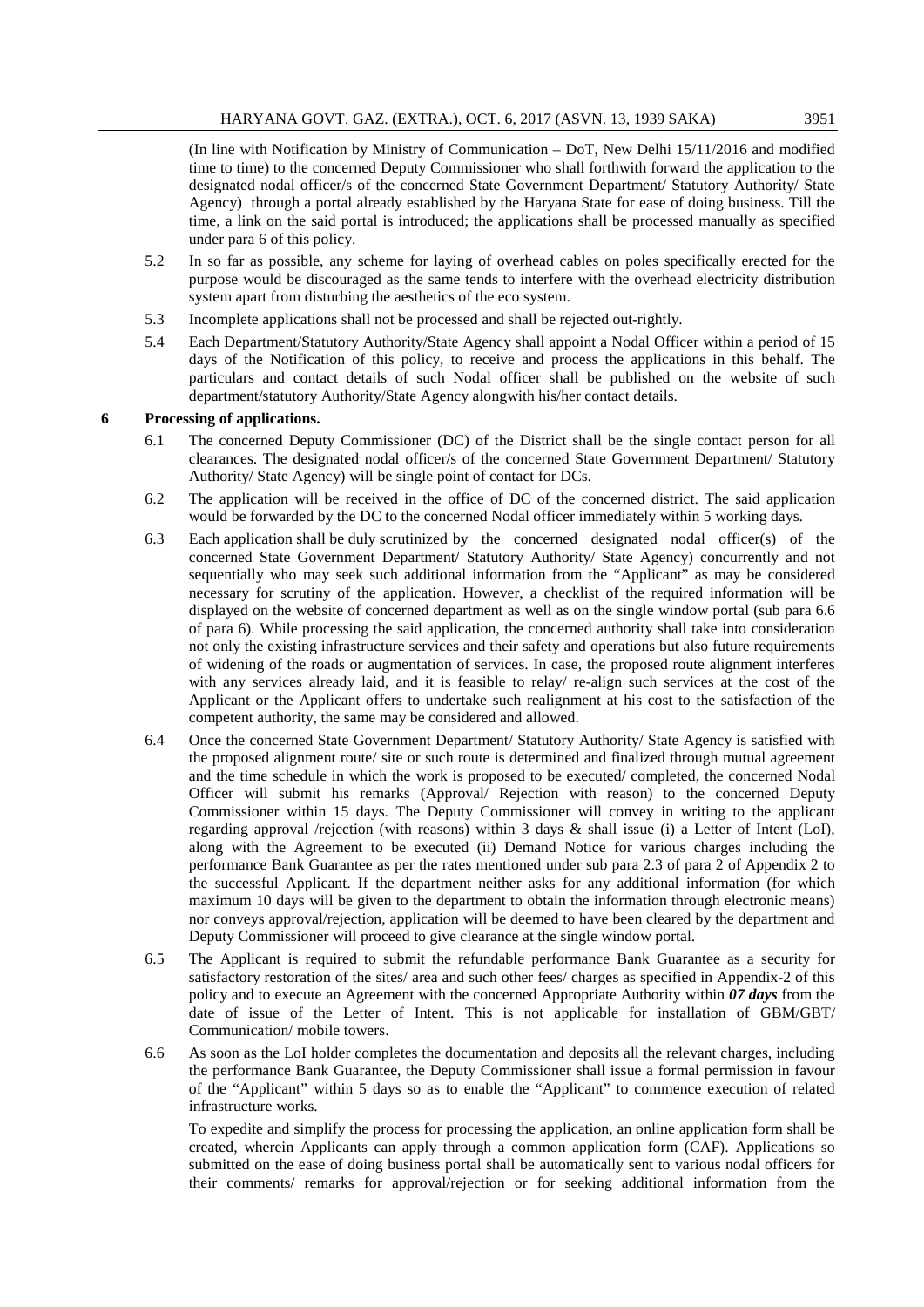(In line with Notification by Ministry of Communication – DoT, New Delhi 15/11/2016 and modified time to time) to the concerned Deputy Commissioner who shall forthwith forward the application to the designated nodal officer/s of the concerned State Government Department/ Statutory Authority/ State Agency) through a portal already established by the Haryana State for ease of doing business. Till the time, a link on the said portal is introduced; the applications shall be processed manually as specified under para 6 of this policy.

- 5.2 In so far as possible, any scheme for laying of overhead cables on poles specifically erected for the purpose would be discouraged as the same tends to interfere with the overhead electricity distribution system apart from disturbing the aesthetics of the eco system.
- 5.3 Incomplete applications shall not be processed and shall be rejected out-rightly.
- 5.4 Each Department/Statutory Authority/State Agency shall appoint a Nodal Officer within a period of 15 days of the Notification of this policy, to receive and process the applications in this behalf. The particulars and contact details of such Nodal officer shall be published on the website of such department/statutory Authority/State Agency alongwith his/her contact details.

#### **6 Processing of applications.**

- 6.1 The concerned Deputy Commissioner (DC) of the District shall be the single contact person for all clearances. The designated nodal officer/s of the concerned State Government Department/ Statutory Authority/ State Agency) will be single point of contact for DCs.
- 6.2 The application will be received in the office of DC of the concerned district. The said application would be forwarded by the DC to the concerned Nodal officer immediately within 5 working days.
- 6.3 Each application shall be duly scrutinized by the concerned designated nodal officer(s) of the concerned State Government Department/ Statutory Authority/ State Agency) concurrently and not sequentially who may seek such additional information from the "Applicant" as may be considered necessary for scrutiny of the application. However, a checklist of the required information will be displayed on the website of concerned department as well as on the single window portal (sub para 6.6 of para 6). While processing the said application, the concerned authority shall take into consideration not only the existing infrastructure services and their safety and operations but also future requirements of widening of the roads or augmentation of services. In case, the proposed route alignment interferes with any services already laid, and it is feasible to relay/ re-align such services at the cost of the Applicant or the Applicant offers to undertake such realignment at his cost to the satisfaction of the competent authority, the same may be considered and allowed.
- 6.4 Once the concerned State Government Department/ Statutory Authority/ State Agency is satisfied with the proposed alignment route/ site or such route is determined and finalized through mutual agreement and the time schedule in which the work is proposed to be executed/ completed, the concerned Nodal Officer will submit his remarks (Approval/ Rejection with reason) to the concerned Deputy Commissioner within 15 days. The Deputy Commissioner will convey in writing to the applicant regarding approval /rejection (with reasons) within 3 days & shall issue (i) a Letter of Intent (LoI), along with the Agreement to be executed (ii) Demand Notice for various charges including the performance Bank Guarantee as per the rates mentioned under sub para 2.3 of para 2 of Appendix 2 to the successful Applicant. If the department neither asks for any additional information (for which maximum 10 days will be given to the department to obtain the information through electronic means) nor conveys approval/rejection, application will be deemed to have been cleared by the department and Deputy Commissioner will proceed to give clearance at the single window portal.
- 6.5 The Applicant is required to submit the refundable performance Bank Guarantee as a security for satisfactory restoration of the sites/ area and such other fees/ charges as specified in Appendix-2 of this policy and to execute an Agreement with the concerned Appropriate Authority within *07 days* from the date of issue of the Letter of Intent. This is not applicable for installation of GBM/GBT/ Communication/ mobile towers.
- 6.6 As soon as the LoI holder completes the documentation and deposits all the relevant charges, including the performance Bank Guarantee, the Deputy Commissioner shall issue a formal permission in favour of the "Applicant" within 5 days so as to enable the "Applicant" to commence execution of related infrastructure works.

To expedite and simplify the process for processing the application, an online application form shall be created, wherein Applicants can apply through a common application form (CAF). Applications so submitted on the ease of doing business portal shall be automatically sent to various nodal officers for their comments/ remarks for approval/rejection or for seeking additional information from the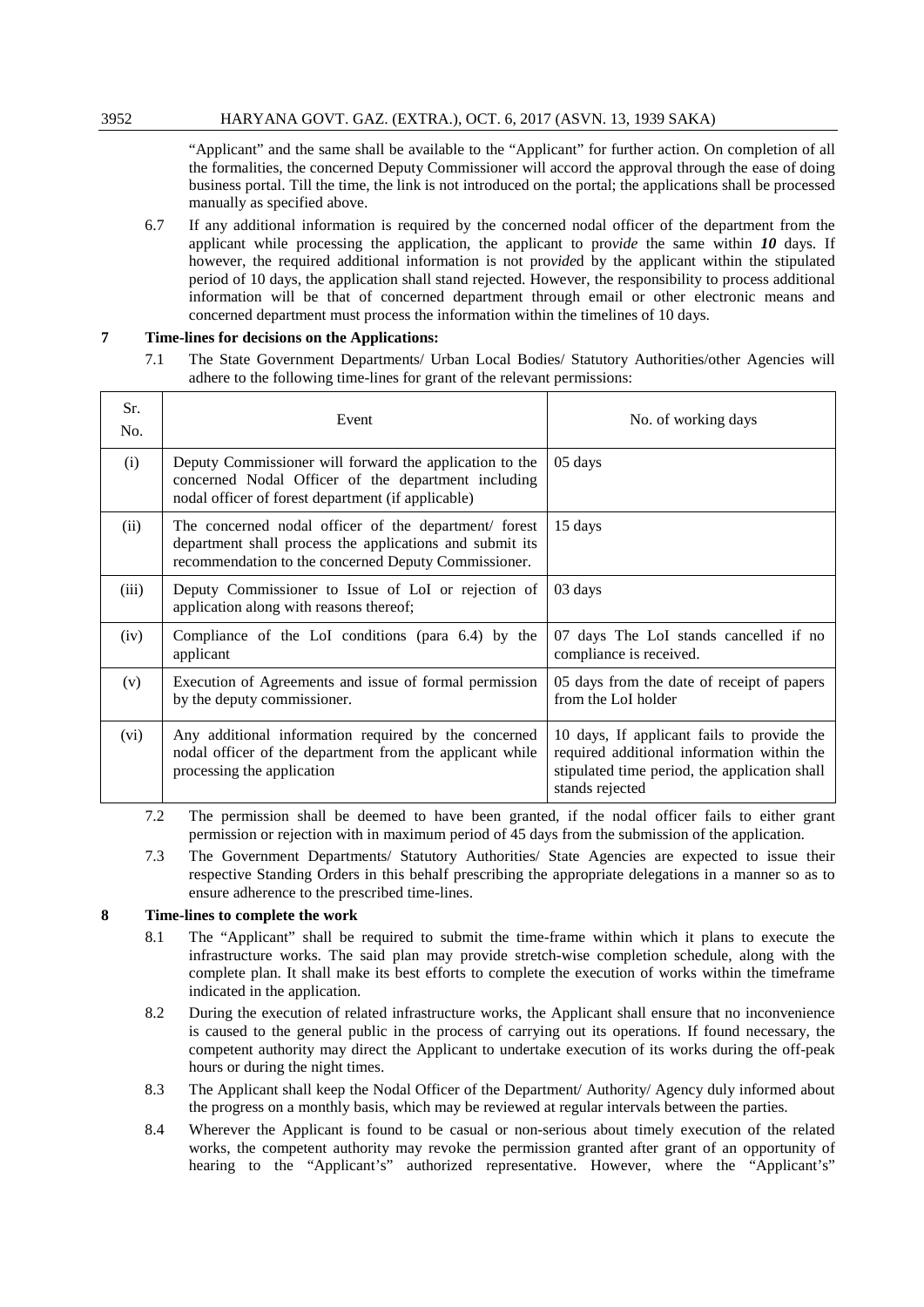"Applicant" and the same shall be available to the "Applicant" for further action. On completion of all the formalities, the concerned Deputy Commissioner will accord the approval through the ease of doing business portal. Till the time, the link is not introduced on the portal; the applications shall be processed manually as specified above.

6.7 If any additional information is required by the concerned nodal officer of the department from the applicant while processing the application, the applicant to pro*vide* the same within *10* days. If however, the required additional information is not pro*vide*d by the applicant within the stipulated period of 10 days, the application shall stand rejected. However, the responsibility to process additional information will be that of concerned department through email or other electronic means and concerned department must process the information within the timelines of 10 days.

# **7 Time-lines for decisions on the Applications:**

7.1 The State Government Departments/ Urban Local Bodies/ Statutory Authorities/other Agencies will adhere to the following time-lines for grant of the relevant permissions:

| Sr.<br>No. | Event                                                                                                                                                                     | No. of working days                                                                                                                                          |
|------------|---------------------------------------------------------------------------------------------------------------------------------------------------------------------------|--------------------------------------------------------------------------------------------------------------------------------------------------------------|
| (i)        | Deputy Commissioner will forward the application to the<br>concerned Nodal Officer of the department including<br>nodal officer of forest department (if applicable)      | 05 days                                                                                                                                                      |
| (ii)       | The concerned nodal officer of the department/ forest<br>department shall process the applications and submit its<br>recommendation to the concerned Deputy Commissioner. | 15 days                                                                                                                                                      |
| (iii)      | Deputy Commissioner to Issue of LoI or rejection of<br>application along with reasons thereof;                                                                            | 03 days                                                                                                                                                      |
| (iv)       | Compliance of the LoI conditions (para 6.4) by the<br>applicant                                                                                                           | 07 days The LoI stands cancelled if no<br>compliance is received.                                                                                            |
| (v)        | Execution of Agreements and issue of formal permission<br>by the deputy commissioner.                                                                                     | 05 days from the date of receipt of papers<br>from the LoI holder                                                                                            |
| (vi)       | Any additional information required by the concerned<br>nodal officer of the department from the applicant while<br>processing the application                            | 10 days, If applicant fails to provide the<br>required additional information within the<br>stipulated time period, the application shall<br>stands rejected |

- 7.2 The permission shall be deemed to have been granted, if the nodal officer fails to either grant permission or rejection with in maximum period of 45 days from the submission of the application.
- 7.3 The Government Departments/ Statutory Authorities/ State Agencies are expected to issue their respective Standing Orders in this behalf prescribing the appropriate delegations in a manner so as to ensure adherence to the prescribed time-lines.

# **8 Time-lines to complete the work**

- 8.1 The "Applicant" shall be required to submit the time-frame within which it plans to execute the infrastructure works. The said plan may provide stretch-wise completion schedule, along with the complete plan. It shall make its best efforts to complete the execution of works within the timeframe indicated in the application.
- 8.2 During the execution of related infrastructure works, the Applicant shall ensure that no inconvenience is caused to the general public in the process of carrying out its operations. If found necessary, the competent authority may direct the Applicant to undertake execution of its works during the off-peak hours or during the night times.
- 8.3 The Applicant shall keep the Nodal Officer of the Department/ Authority/ Agency duly informed about the progress on a monthly basis, which may be reviewed at regular intervals between the parties.
- 8.4 Wherever the Applicant is found to be casual or non-serious about timely execution of the related works, the competent authority may revoke the permission granted after grant of an opportunity of hearing to the "Applicant's" authorized representative. However, where the "Applicant's"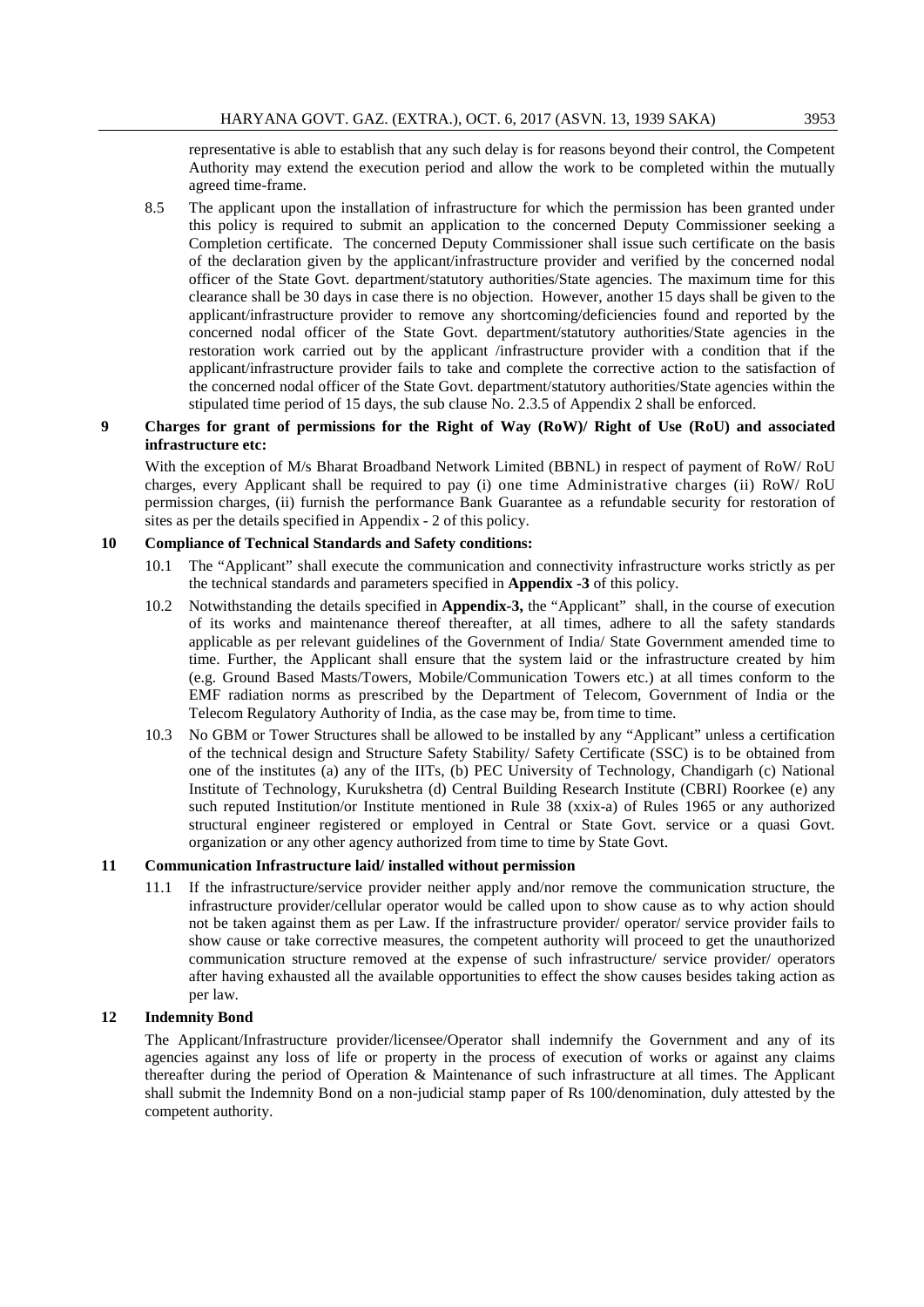representative is able to establish that any such delay is for reasons beyond their control, the Competent Authority may extend the execution period and allow the work to be completed within the mutually agreed time-frame.

8.5 The applicant upon the installation of infrastructure for which the permission has been granted under this policy is required to submit an application to the concerned Deputy Commissioner seeking a Completion certificate. The concerned Deputy Commissioner shall issue such certificate on the basis of the declaration given by the applicant/infrastructure provider and verified by the concerned nodal officer of the State Govt. department/statutory authorities/State agencies. The maximum time for this clearance shall be 30 days in case there is no objection. However, another 15 days shall be given to the applicant/infrastructure provider to remove any shortcoming/deficiencies found and reported by the concerned nodal officer of the State Govt. department/statutory authorities/State agencies in the restoration work carried out by the applicant /infrastructure provider with a condition that if the applicant/infrastructure provider fails to take and complete the corrective action to the satisfaction of the concerned nodal officer of the State Govt. department/statutory authorities/State agencies within the stipulated time period of 15 days, the sub clause No. 2.3.5 of Appendix 2 shall be enforced.

# **9 Charges for grant of permissions for the Right of Way (RoW)/ Right of Use (RoU) and associated infrastructure etc:**

With the exception of M/s Bharat Broadband Network Limited (BBNL) in respect of payment of RoW/ RoU charges, every Applicant shall be required to pay (i) one time Administrative charges (ii) RoW/ RoU permission charges, (ii) furnish the performance Bank Guarantee as a refundable security for restoration of sites as per the details specified in Appendix - 2 of this policy.

#### **10 Compliance of Technical Standards and Safety conditions:**

- 10.1 The "Applicant" shall execute the communication and connectivity infrastructure works strictly as per the technical standards and parameters specified in **Appendix -3** of this policy.
- 10.2 Notwithstanding the details specified in **Appendix-3,** the "Applicant" shall, in the course of execution of its works and maintenance thereof thereafter, at all times, adhere to all the safety standards applicable as per relevant guidelines of the Government of India/ State Government amended time to time. Further, the Applicant shall ensure that the system laid or the infrastructure created by him (e.g. Ground Based Masts/Towers, Mobile/Communication Towers etc.) at all times conform to the EMF radiation norms as prescribed by the Department of Telecom, Government of India or the Telecom Regulatory Authority of India, as the case may be, from time to time.
- 10.3 No GBM or Tower Structures shall be allowed to be installed by any "Applicant" unless a certification of the technical design and Structure Safety Stability/ Safety Certificate (SSC) is to be obtained from one of the institutes (a) any of the IITs, (b) PEC University of Technology, Chandigarh (c) National Institute of Technology, Kurukshetra (d) Central Building Research Institute (CBRI) Roorkee (e) any such reputed Institution/or Institute mentioned in Rule 38 (xxix-a) of Rules 1965 or any authorized structural engineer registered or employed in Central or State Govt. service or a quasi Govt. organization or any other agency authorized from time to time by State Govt.

# **11 Communication Infrastructure laid/ installed without permission**

11.1 If the infrastructure/service provider neither apply and/nor remove the communication structure, the infrastructure provider/cellular operator would be called upon to show cause as to why action should not be taken against them as per Law. If the infrastructure provider/ operator/ service provider fails to show cause or take corrective measures, the competent authority will proceed to get the unauthorized communication structure removed at the expense of such infrastructure/ service provider/ operators after having exhausted all the available opportunities to effect the show causes besides taking action as per law.

#### **12 Indemnity Bond**

The Applicant/Infrastructure provider/licensee/Operator shall indemnify the Government and any of its agencies against any loss of life or property in the process of execution of works or against any claims thereafter during the period of Operation & Maintenance of such infrastructure at all times. The Applicant shall submit the Indemnity Bond on a non-judicial stamp paper of Rs 100/denomination, duly attested by the competent authority.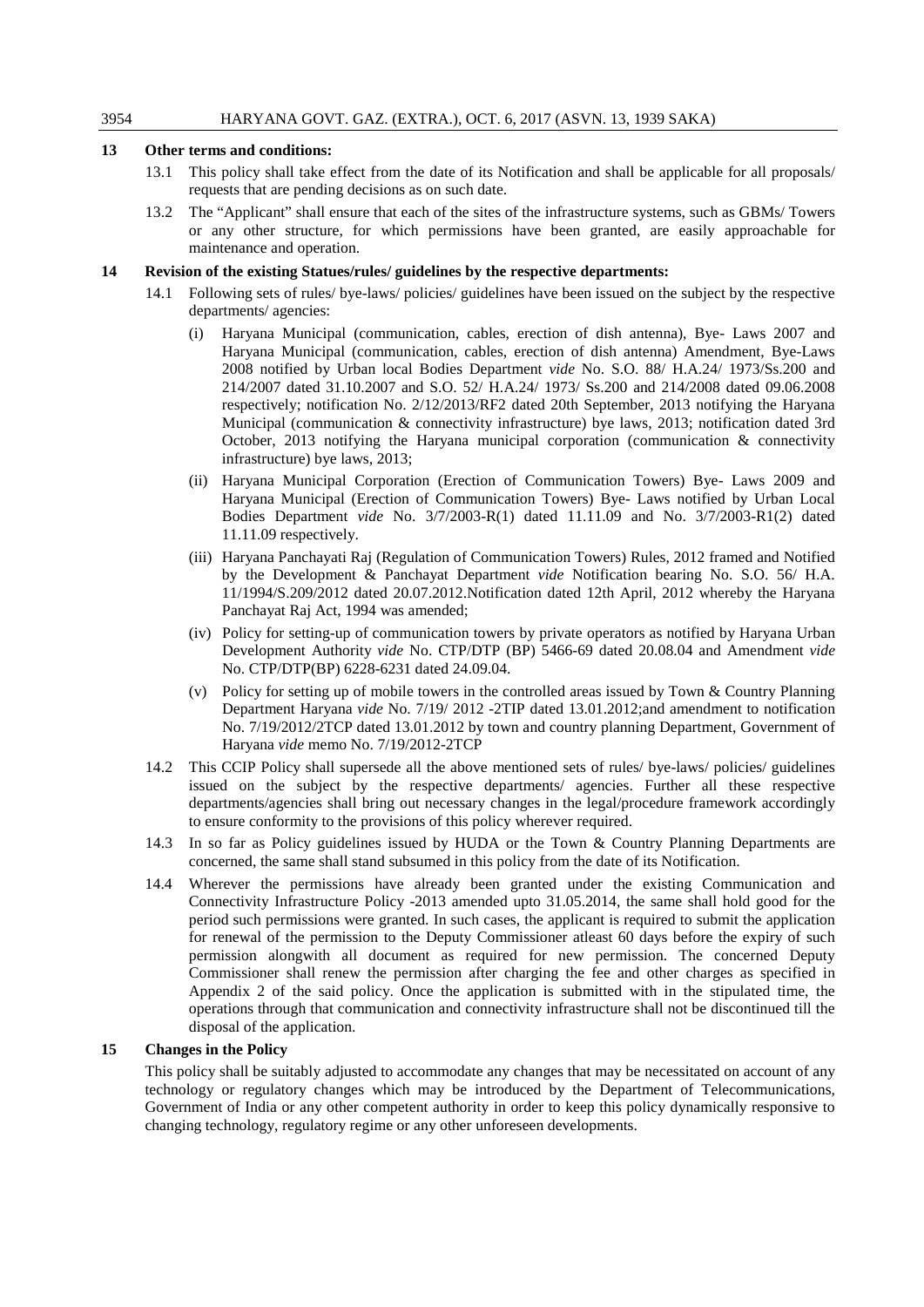# **13 Other terms and conditions:**

- 13.1 This policy shall take effect from the date of its Notification and shall be applicable for all proposals/ requests that are pending decisions as on such date.
- 13.2 The "Applicant" shall ensure that each of the sites of the infrastructure systems, such as GBMs/ Towers or any other structure, for which permissions have been granted, are easily approachable for maintenance and operation.

#### **14 Revision of the existing Statues/rules/ guidelines by the respective departments:**

- 14.1 Following sets of rules/ bye-laws/ policies/ guidelines have been issued on the subject by the respective departments/ agencies:
	- (i) Haryana Municipal (communication, cables, erection of dish antenna), Bye- Laws 2007 and Haryana Municipal (communication, cables, erection of dish antenna) Amendment, Bye-Laws 2008 notified by Urban local Bodies Department *vide* No. S.O. 88/ H.A.24/ 1973/Ss.200 and 214/2007 dated 31.10.2007 and S.O. 52/ H.A.24/ 1973/ Ss.200 and 214/2008 dated 09.06.2008 respectively; notification No. 2/12/2013/RF2 dated 20th September, 2013 notifying the Haryana Municipal (communication & connectivity infrastructure) bye laws, 2013; notification dated 3rd October, 2013 notifying the Haryana municipal corporation (communication  $\&$  connectivity infrastructure) bye laws, 2013;
	- (ii) Haryana Municipal Corporation (Erection of Communication Towers) Bye- Laws 2009 and Haryana Municipal (Erection of Communication Towers) Bye- Laws notified by Urban Local Bodies Department *vide* No. 3/7/2003-R(1) dated 11.11.09 and No. 3/7/2003-R1(2) dated 11.11.09 respectively.
	- (iii) Haryana Panchayati Raj (Regulation of Communication Towers) Rules, 2012 framed and Notified by the Development & Panchayat Department *vide* Notification bearing No. S.O. 56/ H.A. 11/1994/S.209/2012 dated 20.07.2012.Notification dated 12th April, 2012 whereby the Haryana Panchayat Raj Act, 1994 was amended;
	- (iv) Policy for setting-up of communication towers by private operators as notified by Haryana Urban Development Authority *vide* No. CTP/DTP (BP) 5466-69 dated 20.08.04 and Amendment *vide* No. CTP/DTP(BP) 6228-6231 dated 24.09.04.
	- (v) Policy for setting up of mobile towers in the controlled areas issued by Town & Country Planning Department Haryana *vide* No. 7/19/ 2012 -2TIP dated 13.01.2012;and amendment to notification No. 7/19/2012/2TCP dated 13.01.2012 by town and country planning Department, Government of Haryana *vide* memo No. 7/19/2012-2TCP
- 14.2 This CCIP Policy shall supersede all the above mentioned sets of rules/ bye-laws/ policies/ guidelines issued on the subject by the respective departments/ agencies. Further all these respective departments/agencies shall bring out necessary changes in the legal/procedure framework accordingly to ensure conformity to the provisions of this policy wherever required.
- 14.3 In so far as Policy guidelines issued by HUDA or the Town & Country Planning Departments are concerned, the same shall stand subsumed in this policy from the date of its Notification.
- 14.4 Wherever the permissions have already been granted under the existing Communication and Connectivity Infrastructure Policy -2013 amended upto 31.05.2014, the same shall hold good for the period such permissions were granted. In such cases, the applicant is required to submit the application for renewal of the permission to the Deputy Commissioner atleast 60 days before the expiry of such permission alongwith all document as required for new permission. The concerned Deputy Commissioner shall renew the permission after charging the fee and other charges as specified in Appendix 2 of the said policy. Once the application is submitted with in the stipulated time, the operations through that communication and connectivity infrastructure shall not be discontinued till the disposal of the application.

#### **15 Changes in the Policy**

This policy shall be suitably adjusted to accommodate any changes that may be necessitated on account of any technology or regulatory changes which may be introduced by the Department of Telecommunications, Government of India or any other competent authority in order to keep this policy dynamically responsive to changing technology, regulatory regime or any other unforeseen developments.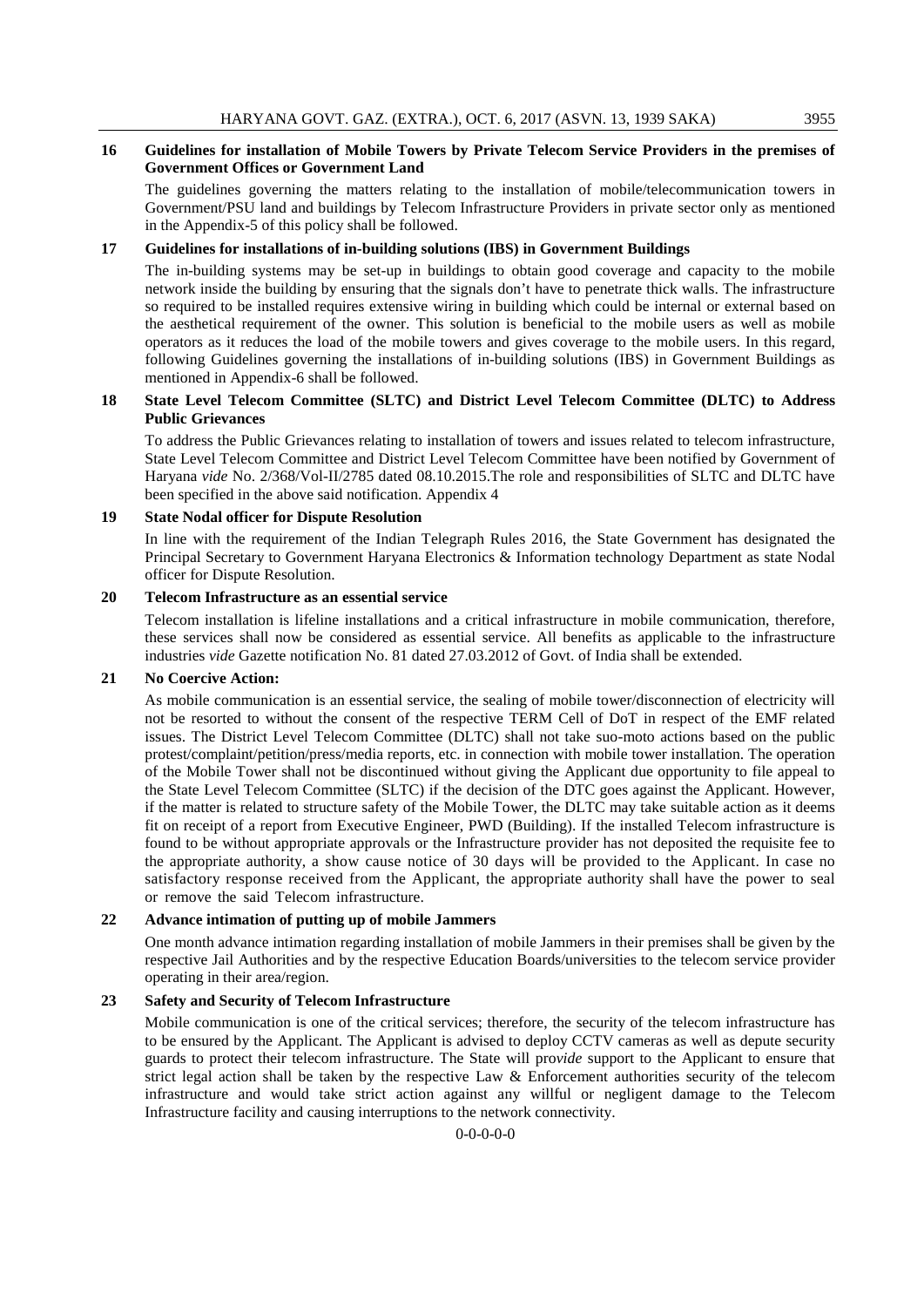# **16 Guidelines for installation of Mobile Towers by Private Telecom Service Providers in the premises of Government Offices or Government Land**

The guidelines governing the matters relating to the installation of mobile/telecommunication towers in Government/PSU land and buildings by Telecom Infrastructure Providers in private sector only as mentioned in the Appendix-5 of this policy shall be followed.

#### **17 Guidelines for installations of in-building solutions (IBS) in Government Buildings**

The in-building systems may be set-up in buildings to obtain good coverage and capacity to the mobile network inside the building by ensuring that the signals don't have to penetrate thick walls. The infrastructure so required to be installed requires extensive wiring in building which could be internal or external based on the aesthetical requirement of the owner. This solution is beneficial to the mobile users as well as mobile operators as it reduces the load of the mobile towers and gives coverage to the mobile users. In this regard, following Guidelines governing the installations of in-building solutions (IBS) in Government Buildings as mentioned in Appendix-6 shall be followed.

#### **18 State Level Telecom Committee (SLTC) and District Level Telecom Committee (DLTC) to Address Public Grievances**

To address the Public Grievances relating to installation of towers and issues related to telecom infrastructure, State Level Telecom Committee and District Level Telecom Committee have been notified by Government of Haryana *vide* No. 2/368/Vol-II/2785 dated 08.10.2015.The role and responsibilities of SLTC and DLTC have been specified in the above said notification. Appendix 4

#### **19 State Nodal officer for Dispute Resolution**

In line with the requirement of the Indian Telegraph Rules 2016, the State Government has designated the Principal Secretary to Government Haryana Electronics & Information technology Department as state Nodal officer for Dispute Resolution.

#### **20 Telecom Infrastructure as an essential service**

Telecom installation is lifeline installations and a critical infrastructure in mobile communication, therefore, these services shall now be considered as essential service. All benefits as applicable to the infrastructure industries *vide* Gazette notification No. 81 dated 27.03.2012 of Govt. of India shall be extended.

# **21 No Coercive Action:**

As mobile communication is an essential service, the sealing of mobile tower/disconnection of electricity will not be resorted to without the consent of the respective TERM Cell of DoT in respect of the EMF related issues. The District Level Telecom Committee (DLTC) shall not take suo-moto actions based on the public protest/complaint/petition/press/media reports, etc. in connection with mobile tower installation. The operation of the Mobile Tower shall not be discontinued without giving the Applicant due opportunity to file appeal to the State Level Telecom Committee (SLTC) if the decision of the DTC goes against the Applicant. However, if the matter is related to structure safety of the Mobile Tower, the DLTC may take suitable action as it deems fit on receipt of a report from Executive Engineer, PWD (Building). If the installed Telecom infrastructure is found to be without appropriate approvals or the Infrastructure provider has not deposited the requisite fee to the appropriate authority, a show cause notice of 30 days will be provided to the Applicant. In case no satisfactory response received from the Applicant, the appropriate authority shall have the power to seal or remove the said Telecom infrastructure.

#### **22 Advance intimation of putting up of mobile Jammers**

One month advance intimation regarding installation of mobile Jammers in their premises shall be given by the respective Jail Authorities and by the respective Education Boards/universities to the telecom service provider operating in their area/region.

# **23 Safety and Security of Telecom Infrastructure**

Mobile communication is one of the critical services; therefore, the security of the telecom infrastructure has to be ensured by the Applicant. The Applicant is advised to deploy CCTV cameras as well as depute security guards to protect their telecom infrastructure. The State will pro*vide* support to the Applicant to ensure that strict legal action shall be taken by the respective Law & Enforcement authorities security of the telecom infrastructure and would take strict action against any willful or negligent damage to the Telecom Infrastructure facility and causing interruptions to the network connectivity.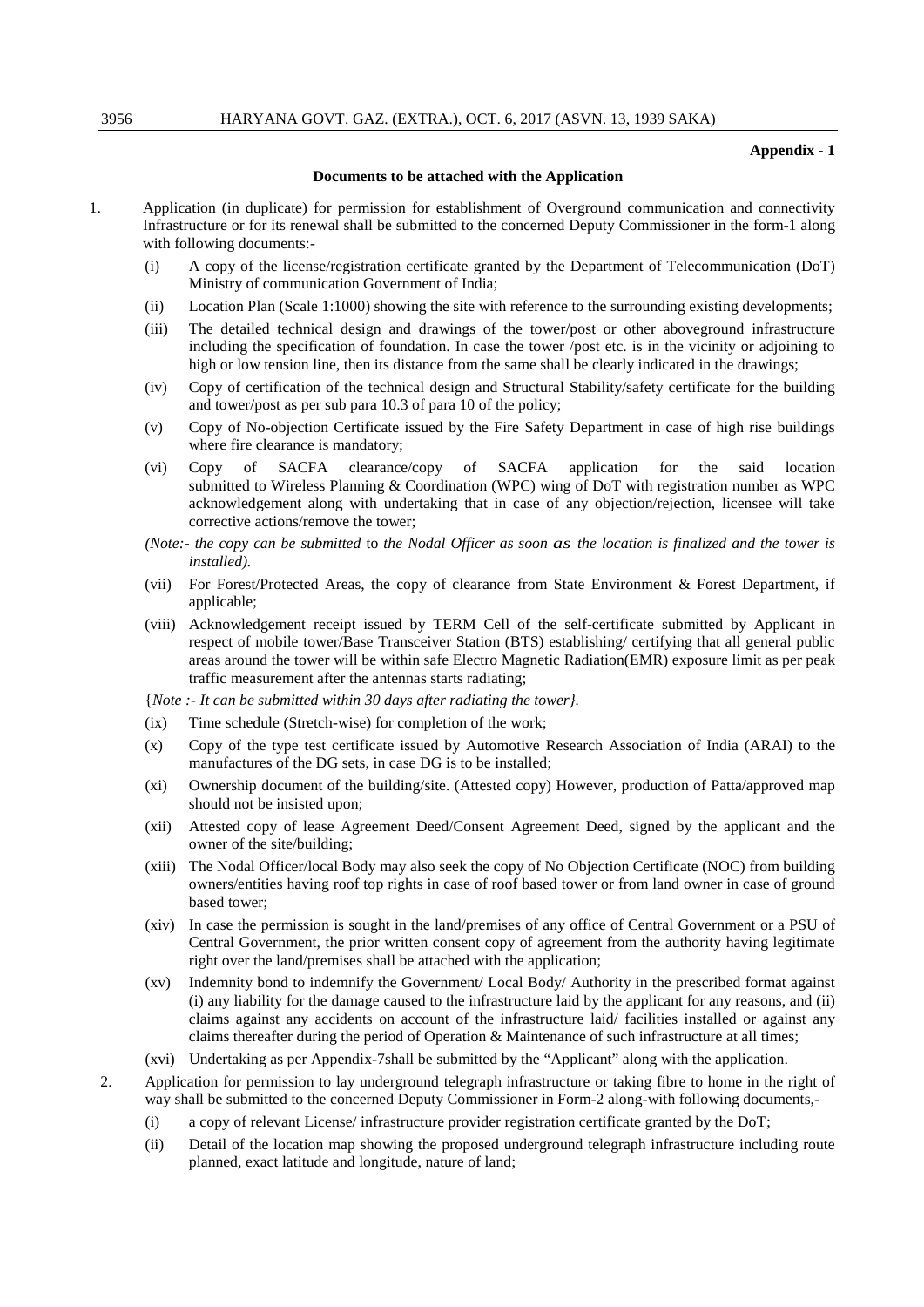#### **Appendix - 1**

#### **Documents to be attached with the Application**

- 1. Application (in duplicate) for permission for establishment of Overground communication and connectivity Infrastructure or for its renewal shall be submitted to the concerned Deputy Commissioner in the form-1 along with following documents:-
	- (i) A copy of the license/registration certificate granted by the Department of Telecommunication (DoT) Ministry of communication Government of India;
	- (ii) Location Plan (Scale 1:1000) showing the site with reference to the surrounding existing developments;
	- (iii) The detailed technical design and drawings of the tower/post or other aboveground infrastructure including the specification of foundation. In case the tower /post etc. is in the vicinity or adjoining to high or low tension line, then its distance from the same shall be clearly indicated in the drawings;
	- (iv) Copy of certification of the technical design and Structural Stability/safety certificate for the building and tower/post as per sub para 10.3 of para 10 of the policy;
	- (v) Copy of No-objection Certificate issued by the Fire Safety Department in case of high rise buildings where fire clearance is mandatory;
	- (vi) Copy of SACFA clearance/copy of SACFA application for the said location submitted to Wireless Planning & Coordination (WPC) wing of DoT with registration number as WPC acknowledgement along with undertaking that in case of any objection/rejection, licensee will take corrective actions/remove the tower;
	- *(Note:- the copy can be submitted* to *the Nodal Officer as soon as the location is finalized and the tower is installed).*
	- (vii) For Forest/Protected Areas, the copy of clearance from State Environment & Forest Department, if applicable;
	- (viii) Acknowledgement receipt issued by TERM Cell of the self-certificate submitted by Applicant in respect of mobile tower/Base Transceiver Station (BTS) establishing/ certifying that all general public areas around the tower will be within safe Electro Magnetic Radiation(EMR) exposure limit as per peak traffic measurement after the antennas starts radiating;
	- {*Note :- It can be submitted within 30 days after radiating the tower}.*
	- (ix) Time schedule (Stretch-wise) for completion of the work;
	- (x) Copy of the type test certificate issued by Automotive Research Association of India (ARAI) to the manufactures of the DG sets, in case DG is to be installed;
	- (xi) Ownership document of the building/site. (Attested copy) However, production of Patta/approved map should not be insisted upon;
	- (xii) Attested copy of lease Agreement Deed/Consent Agreement Deed, signed by the applicant and the owner of the site/building;
	- (xiii) The Nodal Officer/local Body may also seek the copy of No Objection Certificate (NOC) from building owners/entities having roof top rights in case of roof based tower or from land owner in case of ground based tower;
	- (xiv) In case the permission is sought in the land/premises of any office of Central Government or a PSU of Central Government, the prior written consent copy of agreement from the authority having legitimate right over the land/premises shall be attached with the application;
	- (xv) Indemnity bond to indemnify the Government/ Local Body/ Authority in the prescribed format against (i) any liability for the damage caused to the infrastructure laid by the applicant for any reasons, and (ii) claims against any accidents on account of the infrastructure laid/ facilities installed or against any claims thereafter during the period of Operation & Maintenance of such infrastructure at all times;
	- (xvi) Undertaking as per Appendix-7shall be submitted by the "Applicant" along with the application.
	- 2. Application for permission to lay underground telegraph infrastructure or taking fibre to home in the right of way shall be submitted to the concerned Deputy Commissioner in Form-2 along-with following documents,-
		- (i) a copy of relevant License/ infrastructure provider registration certificate granted by the DoT;
		- (ii) Detail of the location map showing the proposed underground telegraph infrastructure including route planned, exact latitude and longitude, nature of land;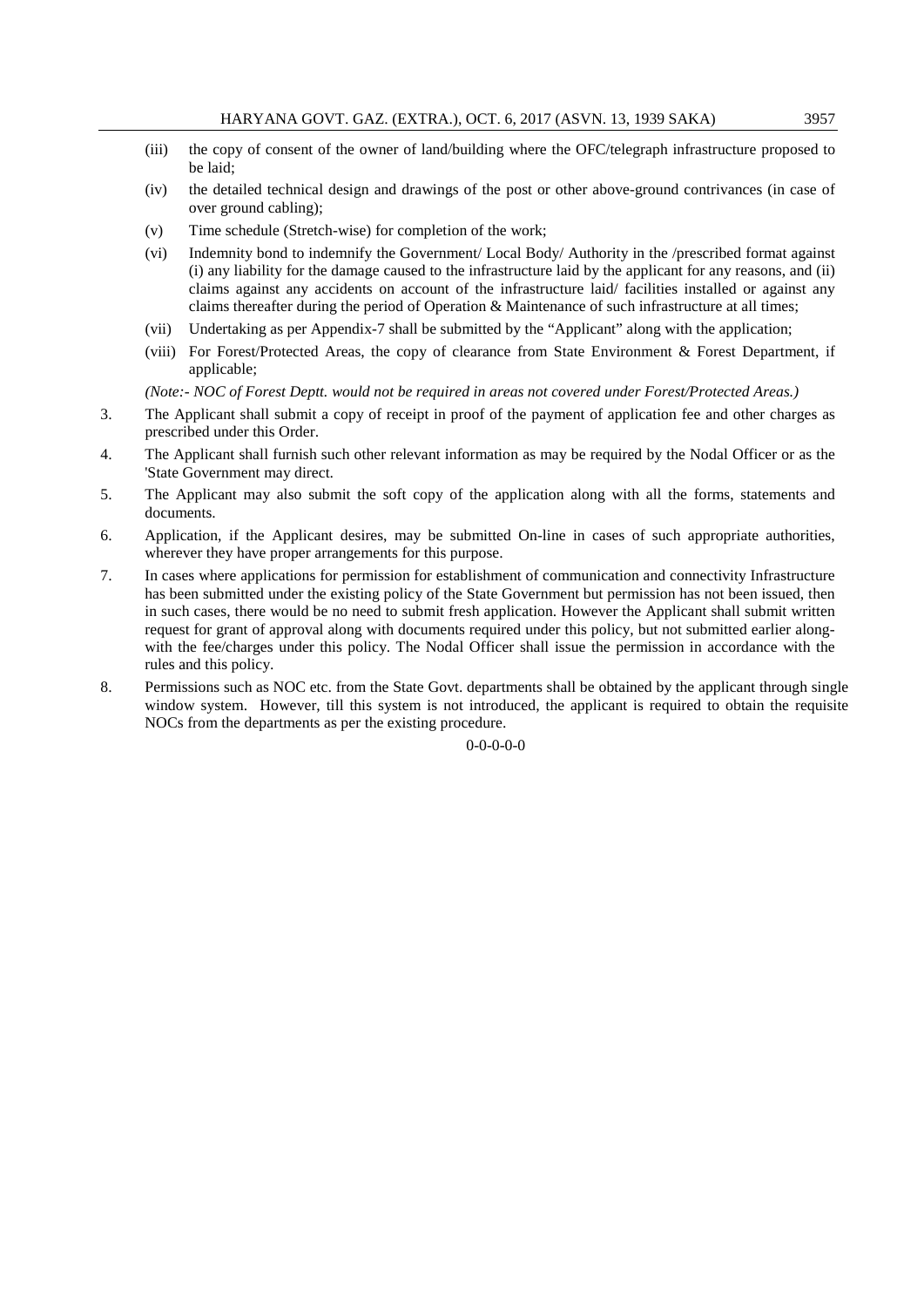- (iii) the copy of consent of the owner of land/building where the OFC/telegraph infrastructure proposed to be laid;
- (iv) the detailed technical design and drawings of the post or other above-ground contrivances (in case of over ground cabling);
- (v) Time schedule (Stretch-wise) for completion of the work;
- (vi) Indemnity bond to indemnify the Government/ Local Body/ Authority in the /prescribed format against (i) any liability for the damage caused to the infrastructure laid by the applicant for any reasons, and (ii) claims against any accidents on account of the infrastructure laid/ facilities installed or against any claims thereafter during the period of Operation & Maintenance of such infrastructure at all times;
- (vii) Undertaking as per Appendix-7 shall be submitted by the "Applicant" along with the application;
- (viii) For Forest/Protected Areas, the copy of clearance from State Environment & Forest Department, if applicable;

*(Note:- NOC of Forest Deptt. would not be required in areas not covered under Forest/Protected Areas.)*

- 3. The Applicant shall submit a copy of receipt in proof of the payment of application fee and other charges as prescribed under this Order.
- 4. The Applicant shall furnish such other relevant information as may be required by the Nodal Officer or as the 'State Government may direct.
- 5. The Applicant may also submit the soft copy of the application along with all the forms, statements and documents.
- 6. Application, if the Applicant desires, may be submitted On-line in cases of such appropriate authorities, wherever they have proper arrangements for this purpose.
- 7. In cases where applications for permission for establishment of communication and connectivity Infrastructure has been submitted under the existing policy of the State Government but permission has not been issued, then in such cases, there would be no need to submit fresh application. However the Applicant shall submit written request for grant of approval along with documents required under this policy, but not submitted earlier alongwith the fee/charges under this policy. The Nodal Officer shall issue the permission in accordance with the rules and this policy.
- 8. Permissions such as NOC etc. from the State Govt. departments shall be obtained by the applicant through single window system. However, till this system is not introduced, the applicant is required to obtain the requisite NOCs from the departments as per the existing procedure.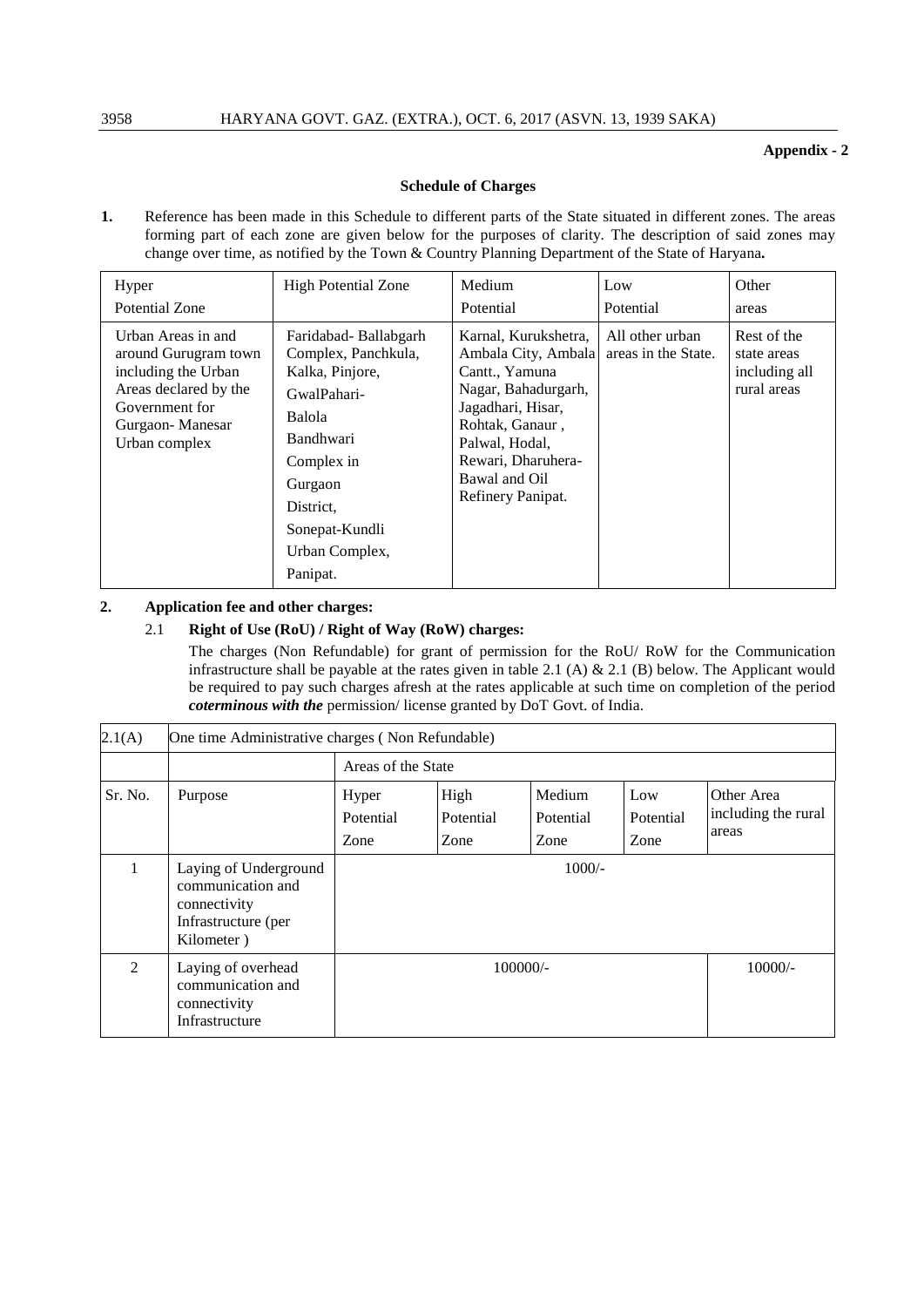# **Appendix - 2**

# **Schedule of Charges**

**1.** Reference has been made in this Schedule to different parts of the State situated in different zones. The areas forming part of each zone are given below for the purposes of clarity. The description of said zones may change over time, as notified by the Town & Country Planning Department of the State of Haryana**.**

| Hyper                                                                                                                                            | <b>High Potential Zone</b>                                                                                                                                                                        | Medium                                                                                                                                                                                                     | Low                                    | Other                                                      |
|--------------------------------------------------------------------------------------------------------------------------------------------------|---------------------------------------------------------------------------------------------------------------------------------------------------------------------------------------------------|------------------------------------------------------------------------------------------------------------------------------------------------------------------------------------------------------------|----------------------------------------|------------------------------------------------------------|
| Potential Zone                                                                                                                                   |                                                                                                                                                                                                   | Potential                                                                                                                                                                                                  | Potential                              | areas                                                      |
| Urban Areas in and<br>around Gurugram town<br>including the Urban<br>Areas declared by the<br>Government for<br>Gurgaon-Manesar<br>Urban complex | Faridabad-Ballabgarh<br>Complex, Panchkula,<br>Kalka, Pinjore,<br>GwalPahari-<br>Balola<br><b>Bandhwari</b><br>Complex in<br>Gurgaon<br>District.<br>Sonepat-Kundli<br>Urban Complex,<br>Panipat. | Karnal, Kurukshetra,<br>Ambala City, Ambala<br>Cantt., Yamuna<br>Nagar, Bahadurgarh,<br>Jagadhari, Hisar,<br>Rohtak, Ganaur,<br>Palwal, Hodal,<br>Rewari, Dharuhera-<br>Bawal and Oil<br>Refinery Panipat. | All other urban<br>areas in the State. | Rest of the<br>state areas<br>including all<br>rural areas |

# **2. Application fee and other charges:**

# 2.1 **Right of Use (RoU) / Right of Way (RoW) charges:**

The charges (Non Refundable) for grant of permission for the RoU/ RoW for the Communication infrastructure shall be payable at the rates given in table 2.1 (A) & 2.1 (B) below. The Applicant would be required to pay such charges afresh at the rates applicable at such time on completion of the period *coterminous with the* permission/ license granted by DoT Govt. of India.

| 2.1(A)         | One time Administrative charges (Non Refundable)                                                |                            |                           |                             |                          |                                            |
|----------------|-------------------------------------------------------------------------------------------------|----------------------------|---------------------------|-----------------------------|--------------------------|--------------------------------------------|
|                |                                                                                                 | Areas of the State         |                           |                             |                          |                                            |
| Sr. No.        | Purpose                                                                                         | Hyper<br>Potential<br>Zone | High<br>Potential<br>Zone | Medium<br>Potential<br>Zone | Low<br>Potential<br>Zone | Other Area<br>including the rural<br>areas |
| 1              | Laying of Underground<br>communication and<br>connectivity<br>Infrastructure (per<br>Kilometer) | $1000/-$                   |                           |                             |                          |                                            |
| $\mathfrak{D}$ | Laying of overhead<br>communication and<br>connectivity<br>Infrastructure                       | $100000/-$                 |                           |                             | $10000/-$                |                                            |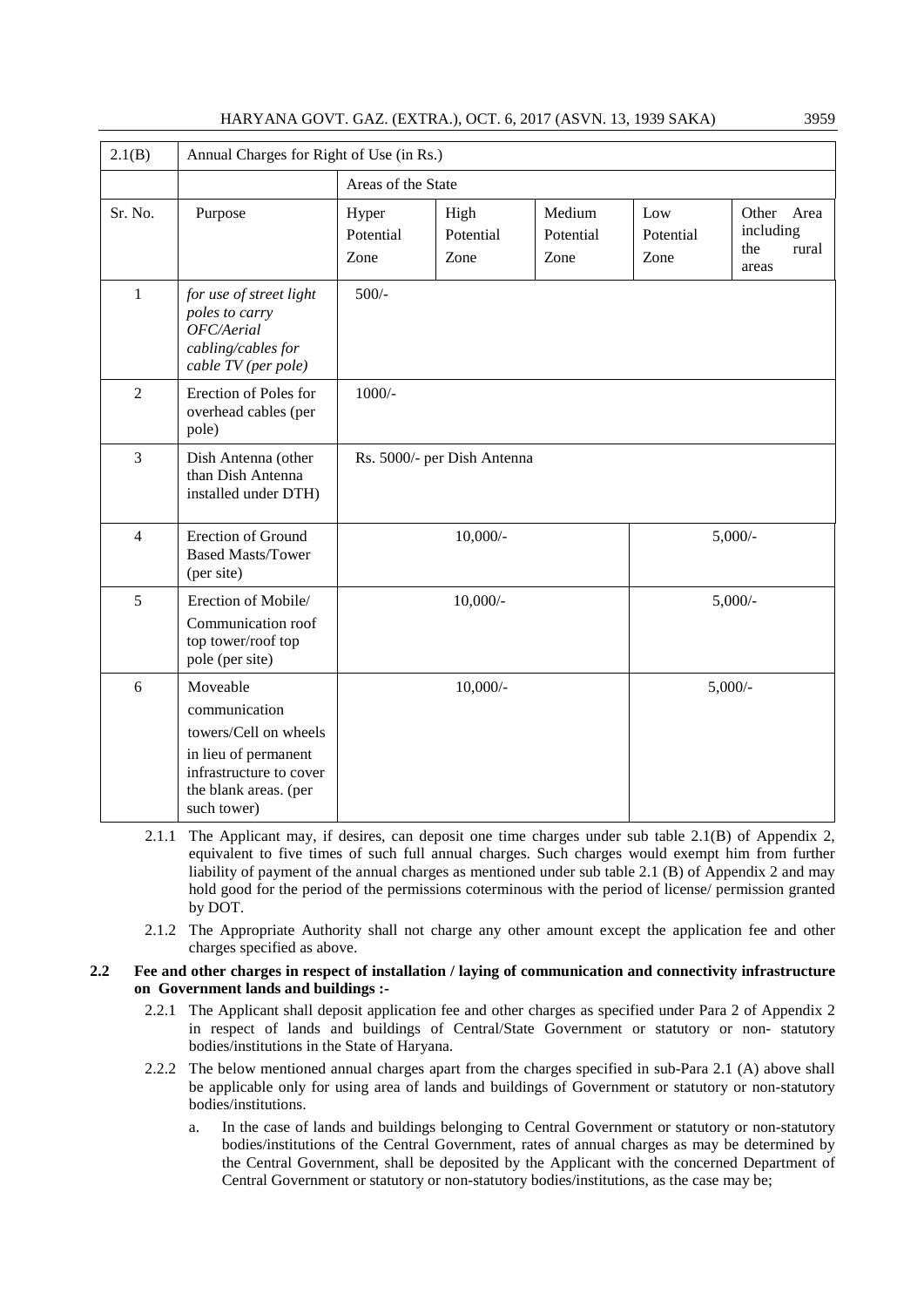# HARYANA GOVT. GAZ. (EXTRA.), OCT. 6, 2017 (ASVN. 13, 1939 SAKA) 3959

| 2.1(B)         | Annual Charges for Right of Use (in Rs.)                                                                                                      |                            |                             |                             |                          |                                                     |  |
|----------------|-----------------------------------------------------------------------------------------------------------------------------------------------|----------------------------|-----------------------------|-----------------------------|--------------------------|-----------------------------------------------------|--|
|                |                                                                                                                                               | Areas of the State         |                             |                             |                          |                                                     |  |
| Sr. No.        | Purpose                                                                                                                                       | Hyper<br>Potential<br>Zone | High<br>Potential<br>Zone   | Medium<br>Potential<br>Zone | Low<br>Potential<br>Zone | Other<br>Area<br>including<br>the<br>rural<br>areas |  |
| $\mathbf{1}$   | for use of street light<br>poles to carry<br>OFC/Aerial<br>cabling/cables for<br>cable TV (per pole)                                          | $500/-$                    |                             |                             |                          |                                                     |  |
| $\overline{2}$ | Erection of Poles for<br>overhead cables (per<br>pole)                                                                                        | $1000/-$                   |                             |                             |                          |                                                     |  |
| $\overline{3}$ | Dish Antenna (other<br>than Dish Antenna<br>installed under DTH)                                                                              |                            | Rs. 5000/- per Dish Antenna |                             |                          |                                                     |  |
| $\overline{4}$ | Erection of Ground<br><b>Based Masts/Tower</b><br>(per site)                                                                                  |                            | $10,000/$ -                 |                             |                          | $5,000/$ -                                          |  |
| 5              | Erection of Mobile/<br>Communication roof<br>top tower/roof top<br>pole (per site)                                                            |                            | $10,000/-$                  |                             |                          | $5,000/$ -                                          |  |
| 6              | Moveable<br>communication<br>towers/Cell on wheels<br>in lieu of permanent<br>infrastructure to cover<br>the blank areas. (per<br>such tower) |                            | $10,000/-$                  |                             | $5,000/$ -               |                                                     |  |

- 2.1.1 The Applicant may, if desires, can deposit one time charges under sub table 2.1(B) of Appendix 2, equivalent to five times of such full annual charges. Such charges would exempt him from further liability of payment of the annual charges as mentioned under sub table 2.1 (B) of Appendix 2 and may hold good for the period of the permissions coterminous with the period of license/ permission granted by DOT.
- 2.1.2 The Appropriate Authority shall not charge any other amount except the application fee and other charges specified as above.

#### **2.2 Fee and other charges in respect of installation / laying of communication and connectivity infrastructure on Government lands and buildings :-**

- 2.2.1 The Applicant shall deposit application fee and other charges as specified under Para 2 of Appendix 2 in respect of lands and buildings of Central/State Government or statutory or non- statutory bodies/institutions in the State of Haryana.
- 2.2.2 The below mentioned annual charges apart from the charges specified in sub-Para 2.1 (A) above shall be applicable only for using area of lands and buildings of Government or statutory or non-statutory bodies/institutions.
	- a. In the case of lands and buildings belonging to Central Government or statutory or non-statutory bodies/institutions of the Central Government, rates of annual charges as may be determined by the Central Government, shall be deposited by the Applicant with the concerned Department of Central Government or statutory or non-statutory bodies/institutions, as the case may be;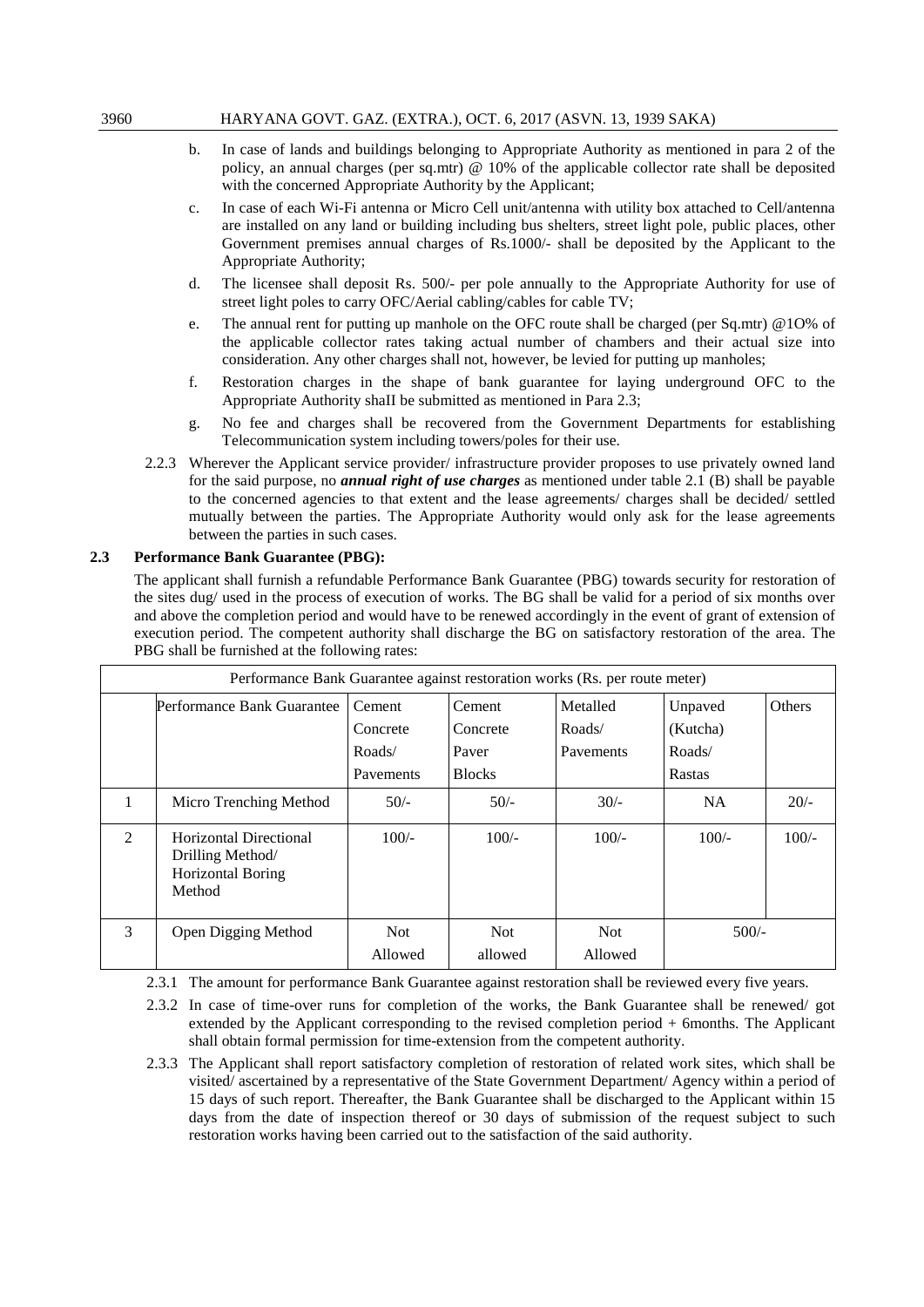- b. In case of lands and buildings belonging to Appropriate Authority as mentioned in para 2 of the policy, an annual charges (per sq.mtr) @ 10% of the applicable collector rate shall be deposited with the concerned Appropriate Authority by the Applicant;
- c. In case of each Wi-Fi antenna or Micro Cell unit/antenna with utility box attached to Cell/antenna are installed on any land or building including bus shelters, street light pole, public places, other Government premises annual charges of Rs.1000/- shall be deposited by the Applicant to the Appropriate Authority;
- d. The licensee shall deposit Rs. 500/- per pole annually to the Appropriate Authority for use of street light poles to carry OFC/Aerial cabling/cables for cable TV;
- e. The annual rent for putting up manhole on the OFC route shall be charged (per Sq.mtr) @1O% of the applicable collector rates taking actual number of chambers and their actual size into consideration. Any other charges shall not, however, be levied for putting up manholes;
- f. Restoration charges in the shape of bank guarantee for laying underground OFC to the Appropriate Authority shaII be submitted as mentioned in Para 2.3;
- g. No fee and charges shall be recovered from the Government Departments for establishing Telecommunication system including towers/poles for their use.
- 2.2.3 Wherever the Applicant service provider/ infrastructure provider proposes to use privately owned land for the said purpose, no *annual right of use charges* as mentioned under table 2.1 (B) shall be payable to the concerned agencies to that extent and the lease agreements/ charges shall be decided/ settled mutually between the parties. The Appropriate Authority would only ask for the lease agreements between the parties in such cases.

# **2.3 Performance Bank Guarantee (PBG):**

The applicant shall furnish a refundable Performance Bank Guarantee (PBG) towards security for restoration of the sites dug/ used in the process of execution of works. The BG shall be valid for a period of six months over and above the completion period and would have to be renewed accordingly in the event of grant of extension of execution period. The competent authority shall discharge the BG on satisfactory restoration of the area. The PBG shall be furnished at the following rates:

|                | Performance Bank Guarantee against restoration works (Rs. per route meter)             |                 |                 |                 |           |         |  |
|----------------|----------------------------------------------------------------------------------------|-----------------|-----------------|-----------------|-----------|---------|--|
|                | Performance Bank Guarantee<br>Metalled<br><b>Others</b><br>Cement<br>Unpaved<br>Cement |                 |                 |                 |           |         |  |
|                |                                                                                        | Concrete        | Concrete        | Roads/          | (Kutcha)  |         |  |
|                |                                                                                        | Roads/          | Paver           | Pavements       | Roads/    |         |  |
|                |                                                                                        | Pavements       | <b>Blocks</b>   |                 | Rastas    |         |  |
| 1              | Micro Trenching Method                                                                 | $50/-$          | $50/-$          | $30/-$          | <b>NA</b> | $20/-$  |  |
| $\mathfrak{D}$ | Horizontal Directional<br>Drilling Method/<br><b>Horizontal Boring</b><br>Method       | $100/-$         | $100/-$         | $100/-$         | $100/-$   | $100/-$ |  |
| 3              | Open Digging Method                                                                    | Not.<br>Allowed | Not.<br>allowed | Not.<br>Allowed | $500/-$   |         |  |

2.3.1 The amount for performance Bank Guarantee against restoration shall be reviewed every five years.

- 2.3.2 In case of time-over runs for completion of the works, the Bank Guarantee shall be renewed/ got extended by the Applicant corresponding to the revised completion period + 6months. The Applicant shall obtain formal permission for time-extension from the competent authority.
- 2.3.3 The Applicant shall report satisfactory completion of restoration of related work sites, which shall be visited/ ascertained by a representative of the State Government Department/ Agency within a period of 15 days of such report. Thereafter, the Bank Guarantee shall be discharged to the Applicant within 15 days from the date of inspection thereof or 30 days of submission of the request subject to such restoration works having been carried out to the satisfaction of the said authority.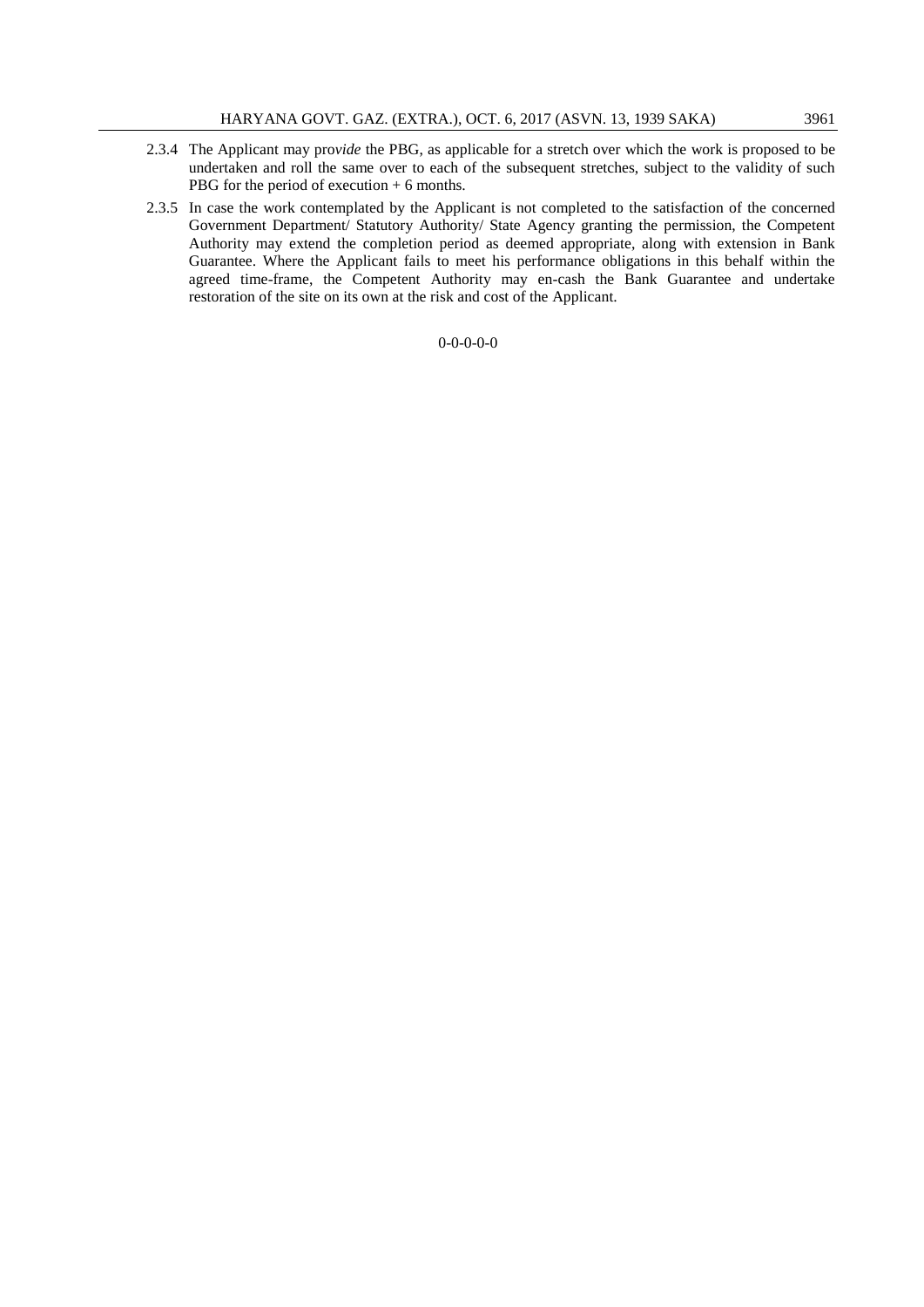- 2.3.4 The Applicant may pro*vide* the PBG, as applicable for a stretch over which the work is proposed to be undertaken and roll the same over to each of the subsequent stretches, subject to the validity of such PBG for the period of execution + 6 months.
- 2.3.5 In case the work contemplated by the Applicant is not completed to the satisfaction of the concerned Government Department/ Statutory Authority/ State Agency granting the permission, the Competent Authority may extend the completion period as deemed appropriate, along with extension in Bank Guarantee. Where the Applicant fails to meet his performance obligations in this behalf within the agreed time-frame, the Competent Authority may en-cash the Bank Guarantee and undertake restoration of the site on its own at the risk and cost of the Applicant.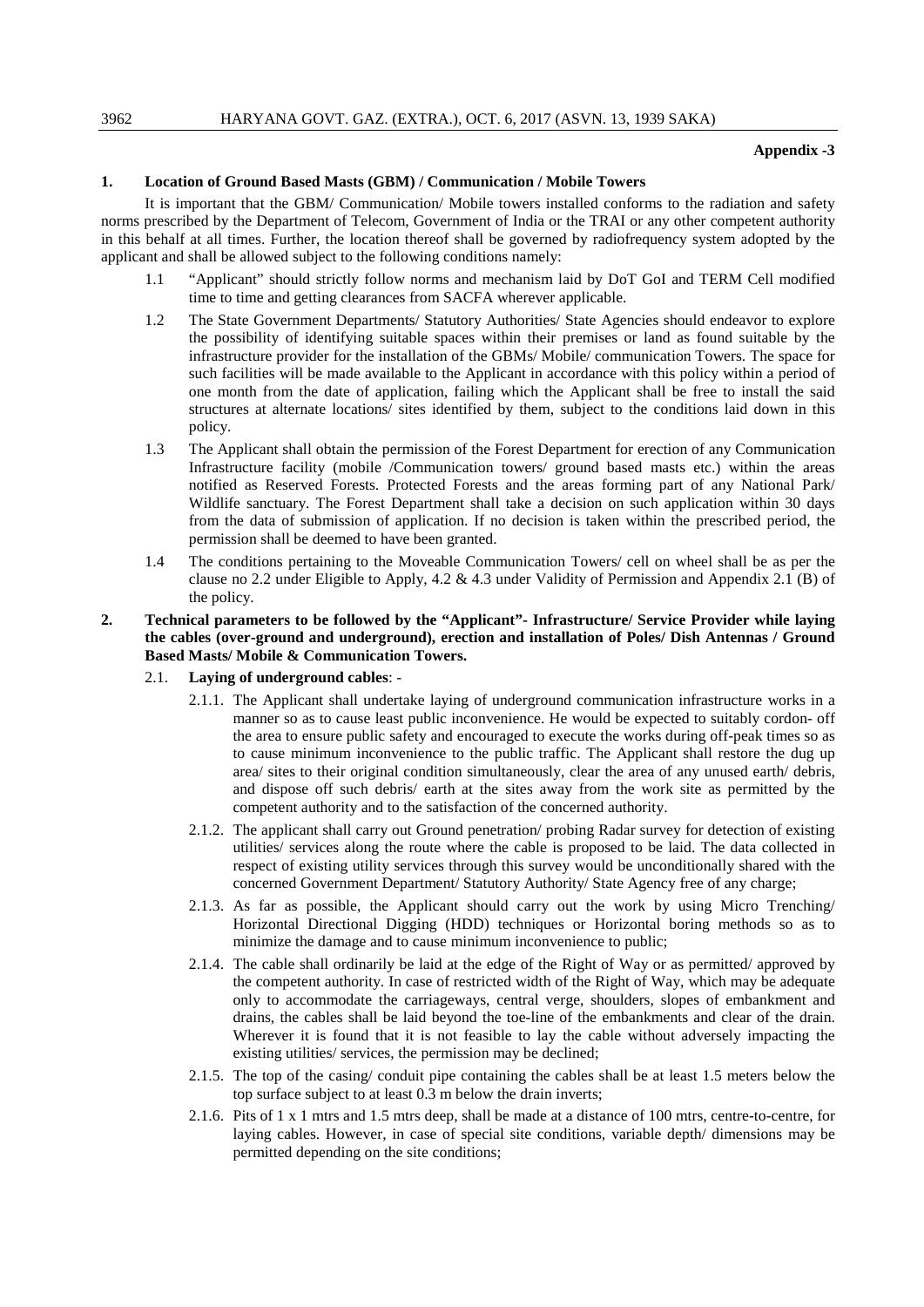#### **Appendix -3**

#### **1. Location of Ground Based Masts (GBM) / Communication / Mobile Towers**

It is important that the GBM/ Communication/ Mobile towers installed conforms to the radiation and safety norms prescribed by the Department of Telecom, Government of India or the TRAI or any other competent authority in this behalf at all times. Further, the location thereof shall be governed by radiofrequency system adopted by the applicant and shall be allowed subject to the following conditions namely:

- 1.1 "Applicant" should strictly follow norms and mechanism laid by DoT GoI and TERM Cell modified time to time and getting clearances from SACFA wherever applicable.
- 1.2 The State Government Departments/ Statutory Authorities/ State Agencies should endeavor to explore the possibility of identifying suitable spaces within their premises or land as found suitable by the infrastructure provider for the installation of the GBMs/ Mobile/ communication Towers. The space for such facilities will be made available to the Applicant in accordance with this policy within a period of one month from the date of application, failing which the Applicant shall be free to install the said structures at alternate locations/ sites identified by them, subject to the conditions laid down in this policy.
- 1.3 The Applicant shall obtain the permission of the Forest Department for erection of any Communication Infrastructure facility (mobile /Communication towers/ ground based masts etc.) within the areas notified as Reserved Forests. Protected Forests and the areas forming part of any National Park/ Wildlife sanctuary. The Forest Department shall take a decision on such application within 30 days from the data of submission of application. If no decision is taken within the prescribed period, the permission shall be deemed to have been granted.
- 1.4 The conditions pertaining to the Moveable Communication Towers/ cell on wheel shall be as per the clause no 2.2 under Eligible to Apply, 4.2 & 4.3 under Validity of Permission and Appendix 2.1 (B) of the policy.
- **2. Technical parameters to be followed by the "Applicant"- Infrastructure/ Service Provider while laying the cables (over-ground and underground), erection and installation of Poles/ Dish Antennas / Ground Based Masts/ Mobile & Communication Towers.**
	- 2.1. **Laying of underground cables**:
		- 2.1.1. The Applicant shall undertake laying of underground communication infrastructure works in a manner so as to cause least public inconvenience. He would be expected to suitably cordon- off the area to ensure public safety and encouraged to execute the works during off-peak times so as to cause minimum inconvenience to the public traffic. The Applicant shall restore the dug up area/ sites to their original condition simultaneously, clear the area of any unused earth/ debris, and dispose off such debris/ earth at the sites away from the work site as permitted by the competent authority and to the satisfaction of the concerned authority.
		- 2.1.2. The applicant shall carry out Ground penetration/ probing Radar survey for detection of existing utilities/ services along the route where the cable is proposed to be laid. The data collected in respect of existing utility services through this survey would be unconditionally shared with the concerned Government Department/ Statutory Authority/ State Agency free of any charge;
		- 2.1.3. As far as possible, the Applicant should carry out the work by using Micro Trenching/ Horizontal Directional Digging (HDD) techniques or Horizontal boring methods so as to minimize the damage and to cause minimum inconvenience to public;
		- 2.1.4. The cable shall ordinarily be laid at the edge of the Right of Way or as permitted/ approved by the competent authority. In case of restricted width of the Right of Way, which may be adequate only to accommodate the carriageways, central verge, shoulders, slopes of embankment and drains, the cables shall be laid beyond the toe-line of the embankments and clear of the drain. Wherever it is found that it is not feasible to lay the cable without adversely impacting the existing utilities/ services, the permission may be declined;
		- 2.1.5. The top of the casing/ conduit pipe containing the cables shall be at least 1.5 meters below the top surface subject to at least 0.3 m below the drain inverts;
		- 2.1.6. Pits of 1 x 1 mtrs and 1.5 mtrs deep, shall be made at a distance of 100 mtrs, centre-to-centre, for laying cables. However, in case of special site conditions, variable depth/ dimensions may be permitted depending on the site conditions;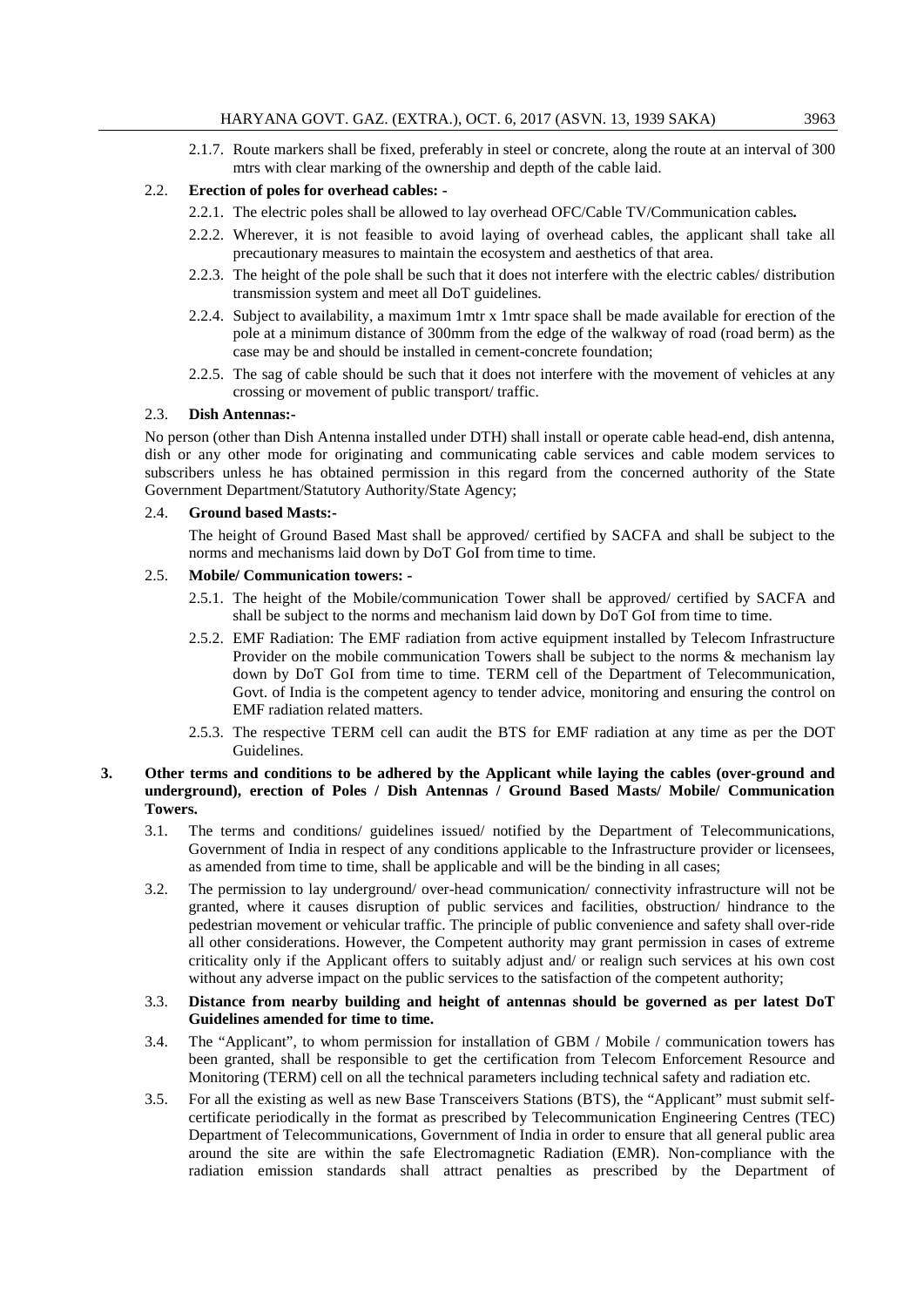2.1.7. Route markers shall be fixed, preferably in steel or concrete, along the route at an interval of 300 mtrs with clear marking of the ownership and depth of the cable laid.

# 2.2. **Erection of poles for overhead cables: -**

- 2.2.1. The electric poles shall be allowed to lay overhead OFC/Cable TV/Communication cables*.*
- 2.2.2. Wherever, it is not feasible to avoid laying of overhead cables, the applicant shall take all precautionary measures to maintain the ecosystem and aesthetics of that area.
- 2.2.3. The height of the pole shall be such that it does not interfere with the electric cables/ distribution transmission system and meet all DoT guidelines.
- 2.2.4. Subject to availability, a maximum 1mtr x 1mtr space shall be made available for erection of the pole at a minimum distance of 300mm from the edge of the walkway of road (road berm) as the case may be and should be installed in cement-concrete foundation;
- 2.2.5. The sag of cable should be such that it does not interfere with the movement of vehicles at any crossing or movement of public transport/ traffic.

# 2.3. **Dish Antennas:-**

No person (other than Dish Antenna installed under DTH) shall install or operate cable head-end, dish antenna, dish or any other mode for originating and communicating cable services and cable modem services to subscribers unless he has obtained permission in this regard from the concerned authority of the State Government Department/Statutory Authority/State Agency;

#### 2.4. **Ground based Masts:-**

The height of Ground Based Mast shall be approved/ certified by SACFA and shall be subject to the norms and mechanisms laid down by DoT GoI from time to time.

#### 2.5. **Mobile/ Communication towers: -**

- 2.5.1. The height of the Mobile/communication Tower shall be approved/ certified by SACFA and shall be subject to the norms and mechanism laid down by DoT GoI from time to time.
- 2.5.2. EMF Radiation: The EMF radiation from active equipment installed by Telecom Infrastructure Provider on the mobile communication Towers shall be subject to the norms & mechanism lay down by DoT GoI from time to time. TERM cell of the Department of Telecommunication, Govt. of India is the competent agency to tender advice, monitoring and ensuring the control on EMF radiation related matters.
- 2.5.3. The respective TERM cell can audit the BTS for EMF radiation at any time as per the DOT Guidelines.

# **3. Other terms and conditions to be adhered by the Applicant while laying the cables (over-ground and underground), erection of Poles / Dish Antennas / Ground Based Masts/ Mobile/ Communication Towers.**

- 3.1. The terms and conditions/ guidelines issued/ notified by the Department of Telecommunications, Government of India in respect of any conditions applicable to the Infrastructure provider or licensees, as amended from time to time, shall be applicable and will be the binding in all cases;
- 3.2. The permission to lay underground/ over-head communication/ connectivity infrastructure will not be granted, where it causes disruption of public services and facilities, obstruction/ hindrance to the pedestrian movement or vehicular traffic. The principle of public convenience and safety shall over-ride all other considerations. However, the Competent authority may grant permission in cases of extreme criticality only if the Applicant offers to suitably adjust and/ or realign such services at his own cost without any adverse impact on the public services to the satisfaction of the competent authority;

#### 3.3. **Distance from nearby building and height of antennas should be governed as per latest DoT Guidelines amended for time to time.**

- 3.4. The "Applicant", to whom permission for installation of GBM / Mobile / communication towers has been granted, shall be responsible to get the certification from Telecom Enforcement Resource and Monitoring (TERM) cell on all the technical parameters including technical safety and radiation etc.
- 3.5. For all the existing as well as new Base Transceivers Stations (BTS), the "Applicant" must submit selfcertificate periodically in the format as prescribed by Telecommunication Engineering Centres (TEC) Department of Telecommunications, Government of India in order to ensure that all general public area around the site are within the safe Electromagnetic Radiation (EMR). Non-compliance with the radiation emission standards shall attract penalties as prescribed by the Department of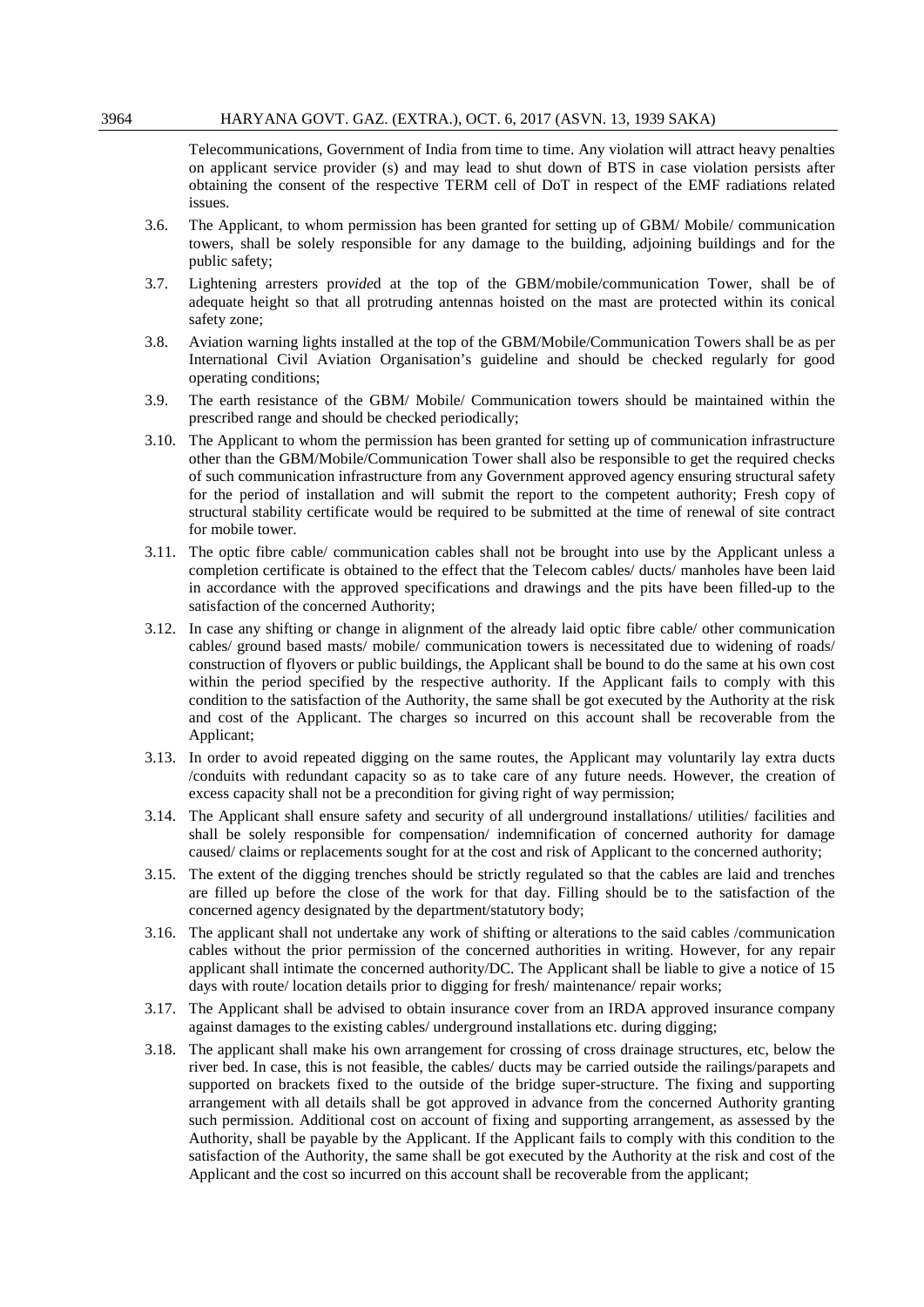Telecommunications, Government of India from time to time. Any violation will attract heavy penalties on applicant service provider (s) and may lead to shut down of BTS in case violation persists after obtaining the consent of the respective TERM cell of DoT in respect of the EMF radiations related issues.

- 3.6. The Applicant, to whom permission has been granted for setting up of GBM/ Mobile/ communication towers, shall be solely responsible for any damage to the building, adjoining buildings and for the public safety;
- 3.7. Lightening arresters pro*vide*d at the top of the GBM/mobile/communication Tower, shall be of adequate height so that all protruding antennas hoisted on the mast are protected within its conical safety zone;
- 3.8. Aviation warning lights installed at the top of the GBM/Mobile/Communication Towers shall be as per International Civil Aviation Organisation's guideline and should be checked regularly for good operating conditions;
- 3.9. The earth resistance of the GBM/ Mobile/ Communication towers should be maintained within the prescribed range and should be checked periodically;
- 3.10. The Applicant to whom the permission has been granted for setting up of communication infrastructure other than the GBM/Mobile/Communication Tower shall also be responsible to get the required checks of such communication infrastructure from any Government approved agency ensuring structural safety for the period of installation and will submit the report to the competent authority; Fresh copy of structural stability certificate would be required to be submitted at the time of renewal of site contract for mobile tower.
- 3.11. The optic fibre cable/ communication cables shall not be brought into use by the Applicant unless a completion certificate is obtained to the effect that the Telecom cables/ ducts/ manholes have been laid in accordance with the approved specifications and drawings and the pits have been filled-up to the satisfaction of the concerned Authority;
- 3.12. In case any shifting or change in alignment of the already laid optic fibre cable/ other communication cables/ ground based masts/ mobile/ communication towers is necessitated due to widening of roads/ construction of flyovers or public buildings, the Applicant shall be bound to do the same at his own cost within the period specified by the respective authority. If the Applicant fails to comply with this condition to the satisfaction of the Authority, the same shall be got executed by the Authority at the risk and cost of the Applicant. The charges so incurred on this account shall be recoverable from the Applicant;
- 3.13. In order to avoid repeated digging on the same routes, the Applicant may voluntarily lay extra ducts /conduits with redundant capacity so as to take care of any future needs. However, the creation of excess capacity shall not be a precondition for giving right of way permission;
- 3.14. The Applicant shall ensure safety and security of all underground installations/ utilities/ facilities and shall be solely responsible for compensation/ indemnification of concerned authority for damage caused/ claims or replacements sought for at the cost and risk of Applicant to the concerned authority;
- 3.15. The extent of the digging trenches should be strictly regulated so that the cables are laid and trenches are filled up before the close of the work for that day. Filling should be to the satisfaction of the concerned agency designated by the department/statutory body;
- 3.16. The applicant shall not undertake any work of shifting or alterations to the said cables /communication cables without the prior permission of the concerned authorities in writing. However, for any repair applicant shall intimate the concerned authority/DC. The Applicant shall be liable to give a notice of 15 days with route/ location details prior to digging for fresh/ maintenance/ repair works;
- 3.17. The Applicant shall be advised to obtain insurance cover from an IRDA approved insurance company against damages to the existing cables/ underground installations etc. during digging;
- 3.18. The applicant shall make his own arrangement for crossing of cross drainage structures, etc, below the river bed. In case, this is not feasible, the cables/ ducts may be carried outside the railings/parapets and supported on brackets fixed to the outside of the bridge super-structure. The fixing and supporting arrangement with all details shall be got approved in advance from the concerned Authority granting such permission. Additional cost on account of fixing and supporting arrangement, as assessed by the Authority, shall be payable by the Applicant. If the Applicant fails to comply with this condition to the satisfaction of the Authority, the same shall be got executed by the Authority at the risk and cost of the Applicant and the cost so incurred on this account shall be recoverable from the applicant;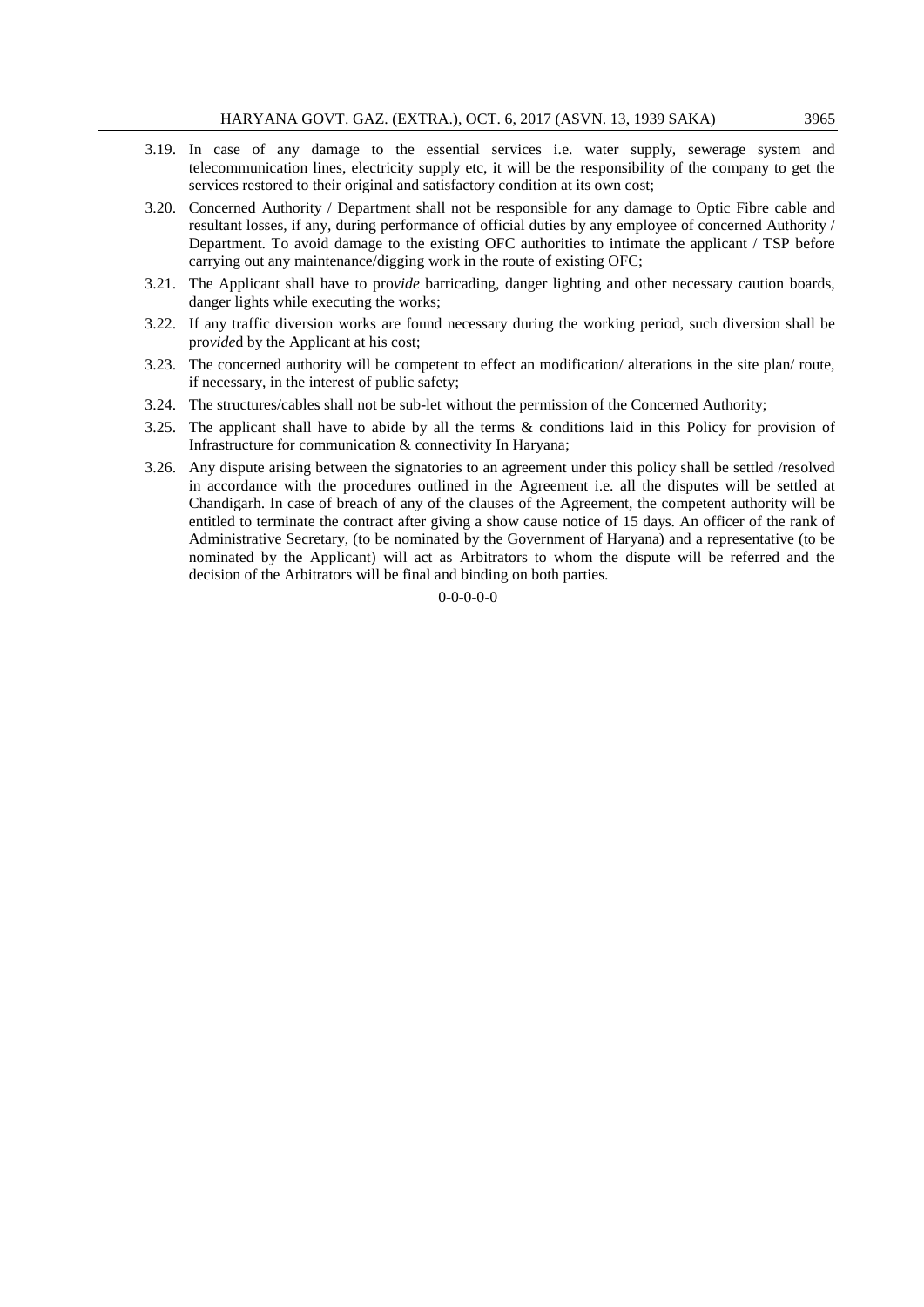- 3.19. In case of any damage to the essential services i.e. water supply, sewerage system and telecommunication lines, electricity supply etc, it will be the responsibility of the company to get the services restored to their original and satisfactory condition at its own cost;
- 3.20. Concerned Authority / Department shall not be responsible for any damage to Optic Fibre cable and resultant losses, if any, during performance of official duties by any employee of concerned Authority / Department. To avoid damage to the existing OFC authorities to intimate the applicant / TSP before carrying out any maintenance/digging work in the route of existing OFC;
- 3.21. The Applicant shall have to pro*vide* barricading, danger lighting and other necessary caution boards, danger lights while executing the works;
- 3.22. If any traffic diversion works are found necessary during the working period, such diversion shall be pro*vide*d by the Applicant at his cost;
- 3.23. The concerned authority will be competent to effect an modification/ alterations in the site plan/ route, if necessary, in the interest of public safety;
- 3.24. The structures/cables shall not be sub-let without the permission of the Concerned Authority;
- 3.25. The applicant shall have to abide by all the terms & conditions laid in this Policy for provision of Infrastructure for communication & connectivity In Haryana;
- 3.26. Any dispute arising between the signatories to an agreement under this policy shall be settled /resolved in accordance with the procedures outlined in the Agreement i.e. all the disputes will be settled at Chandigarh. In case of breach of any of the clauses of the Agreement, the competent authority will be entitled to terminate the contract after giving a show cause notice of 15 days. An officer of the rank of Administrative Secretary, (to be nominated by the Government of Haryana) and a representative (to be nominated by the Applicant) will act as Arbitrators to whom the dispute will be referred and the decision of the Arbitrators will be final and binding on both parties.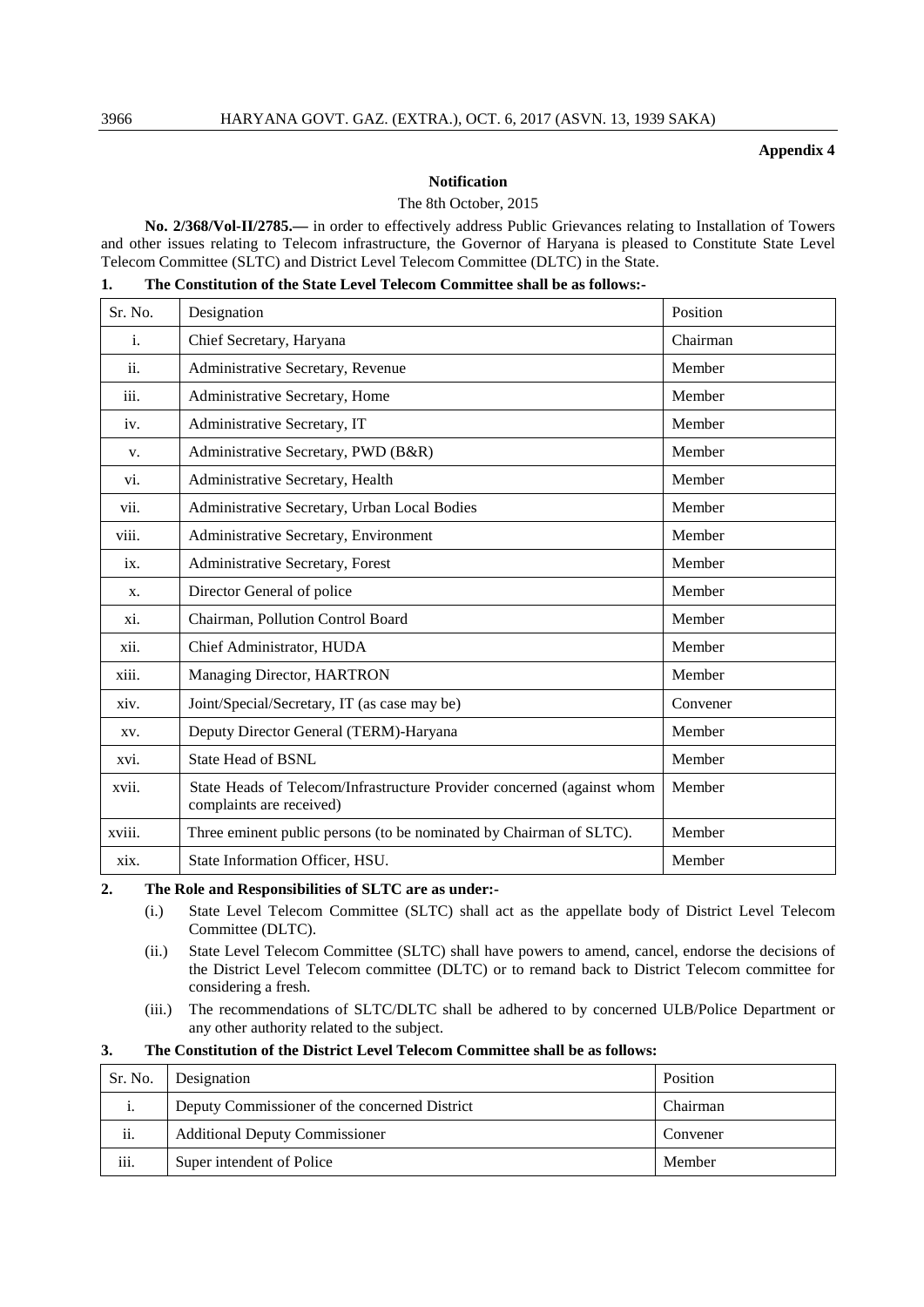#### **Appendix 4**

# **Notification**

#### The 8th October, 2015

**No. 2/368/Vol-II/2785.—** in order to effectively address Public Grievances relating to Installation of Towers and other issues relating to Telecom infrastructure, the Governor of Haryana is pleased to Constitute State Level Telecom Committee (SLTC) and District Level Telecom Committee (DLTC) in the State.

|  | The Constitution of the State Level Telecom Committee shall be as follows:- |  |
|--|-----------------------------------------------------------------------------|--|
|--|-----------------------------------------------------------------------------|--|

| Sr. No. | Designation                                                                                        | Position |
|---------|----------------------------------------------------------------------------------------------------|----------|
| i.      | Chief Secretary, Haryana                                                                           | Chairman |
| ii.     | Administrative Secretary, Revenue                                                                  | Member   |
| iii.    | Administrative Secretary, Home                                                                     | Member   |
| iv.     | Administrative Secretary, IT                                                                       | Member   |
| V.      | Administrative Secretary, PWD (B&R)                                                                | Member   |
| vi.     | Administrative Secretary, Health                                                                   | Member   |
| vii.    | Administrative Secretary, Urban Local Bodies                                                       | Member   |
| viii.   | Administrative Secretary, Environment                                                              | Member   |
| ix.     | Administrative Secretary, Forest                                                                   | Member   |
| X.      | Director General of police                                                                         | Member   |
| xi.     | Chairman, Pollution Control Board                                                                  | Member   |
| xii.    | Chief Administrator, HUDA                                                                          | Member   |
| xiii.   | Managing Director, HARTRON                                                                         | Member   |
| xiv.    | Joint/Special/Secretary, IT (as case may be)                                                       | Convener |
| XV.     | Deputy Director General (TERM)-Haryana                                                             | Member   |
| xvi.    | <b>State Head of BSNL</b>                                                                          | Member   |
| xvii.   | State Heads of Telecom/Infrastructure Provider concerned (against whom<br>complaints are received) | Member   |
| xviii.  | Three eminent public persons (to be nominated by Chairman of SLTC).                                | Member   |
| xix.    | State Information Officer, HSU.                                                                    | Member   |

**2. The Role and Responsibilities of SLTC are as under:-**

- (i.) State Level Telecom Committee (SLTC) shall act as the appellate body of District Level Telecom Committee (DLTC).
- (ii.) State Level Telecom Committee (SLTC) shall have powers to amend, cancel, endorse the decisions of the District Level Telecom committee (DLTC) or to remand back to District Telecom committee for considering a fresh.
- (iii.) The recommendations of SLTC/DLTC shall be adhered to by concerned ULB/Police Department or any other authority related to the subject.

# **3. The Constitution of the District Level Telecom Committee shall be as follows:**

| Sr. No. | Designation                                   | Position |
|---------|-----------------------------------------------|----------|
| 1.      | Deputy Commissioner of the concerned District | Chairman |
| ii.     | <b>Additional Deputy Commissioner</b>         | Convener |
| iii.    | Super intendent of Police                     | Member   |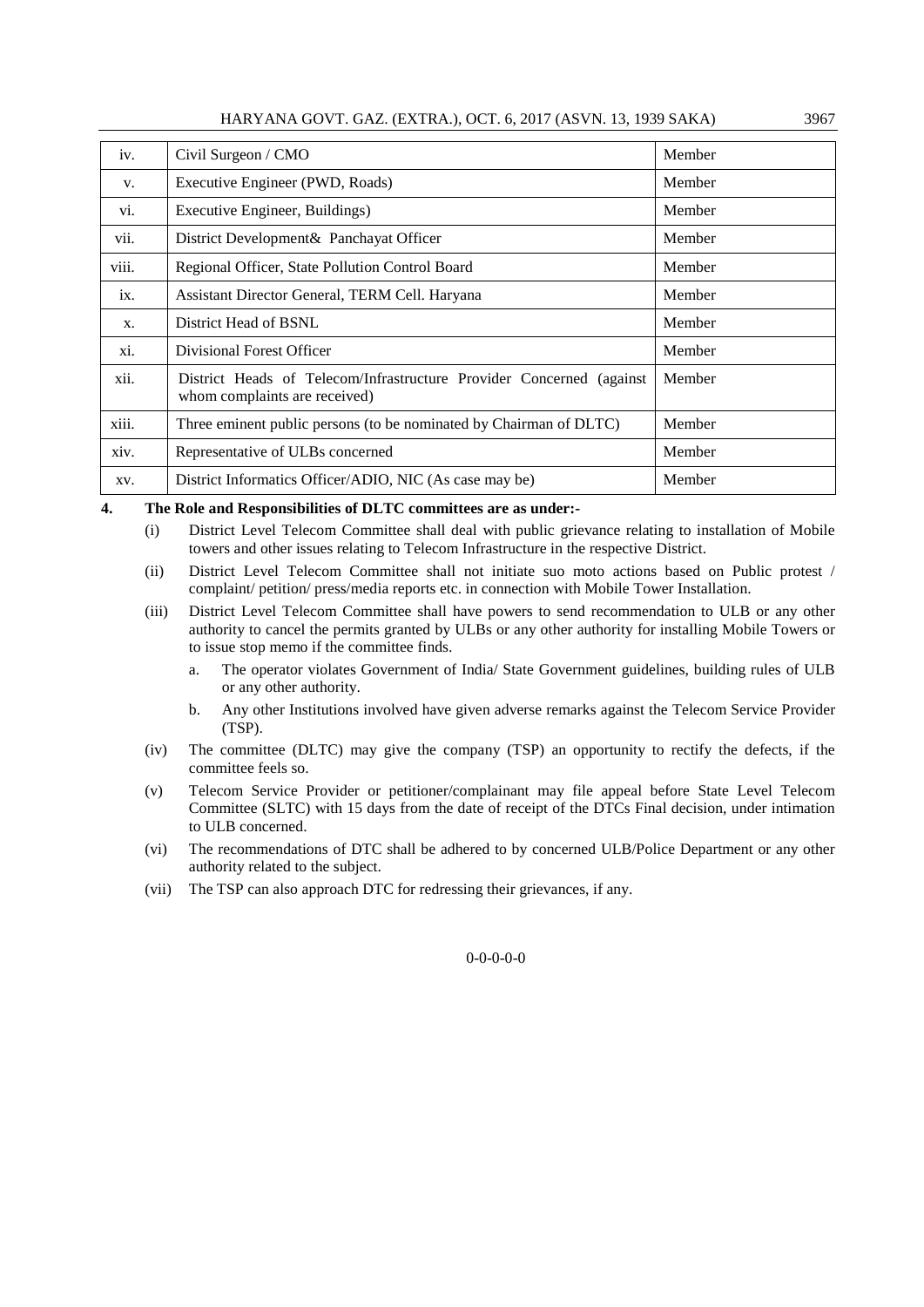| HARYANA GOVT. GAZ. (EXTRA.), OCT. 6, 2017 (ASVN. 13, 1939 SAKA) |  |  |  | 3967 |
|-----------------------------------------------------------------|--|--|--|------|
|-----------------------------------------------------------------|--|--|--|------|

| iv.   | Civil Surgeon / CMO                                                                                    | Member |
|-------|--------------------------------------------------------------------------------------------------------|--------|
| V.    | Executive Engineer (PWD, Roads)                                                                        | Member |
| V1.   | Executive Engineer, Buildings)                                                                         | Member |
| vii.  | District Development & Panchayat Officer                                                               | Member |
| viii. | Regional Officer, State Pollution Control Board                                                        | Member |
| ix.   | Assistant Director General, TERM Cell. Haryana                                                         | Member |
| X.    | District Head of BSNL                                                                                  | Member |
| xi.   | Divisional Forest Officer                                                                              | Member |
| xii.  | District Heads of Telecom/Infrastructure Provider Concerned (against)<br>whom complaints are received) | Member |
| xiii. | Three eminent public persons (to be nominated by Chairman of DLTC)                                     | Member |
| xiv.  | Representative of ULBs concerned                                                                       | Member |
| XV.   | District Informatics Officer/ADIO, NIC (As case may be)                                                | Member |

**4. The Role and Responsibilities of DLTC committees are as under:-**

- (i) District Level Telecom Committee shall deal with public grievance relating to installation of Mobile towers and other issues relating to Telecom Infrastructure in the respective District.
- (ii) District Level Telecom Committee shall not initiate suo moto actions based on Public protest / complaint/ petition/ press/media reports etc. in connection with Mobile Tower Installation.
- (iii) District Level Telecom Committee shall have powers to send recommendation to ULB or any other authority to cancel the permits granted by ULBs or any other authority for installing Mobile Towers or to issue stop memo if the committee finds.
	- a. The operator violates Government of India/ State Government guidelines, building rules of ULB or any other authority.
	- b. Any other Institutions involved have given adverse remarks against the Telecom Service Provider (TSP).
- (iv) The committee (DLTC) may give the company (TSP) an opportunity to rectify the defects, if the committee feels so.
- (v) Telecom Service Provider or petitioner/complainant may file appeal before State Level Telecom Committee (SLTC) with 15 days from the date of receipt of the DTCs Final decision, under intimation to ULB concerned.
- (vi) The recommendations of DTC shall be adhered to by concerned ULB/Police Department or any other authority related to the subject.
- (vii) The TSP can also approach DTC for redressing their grievances, if any.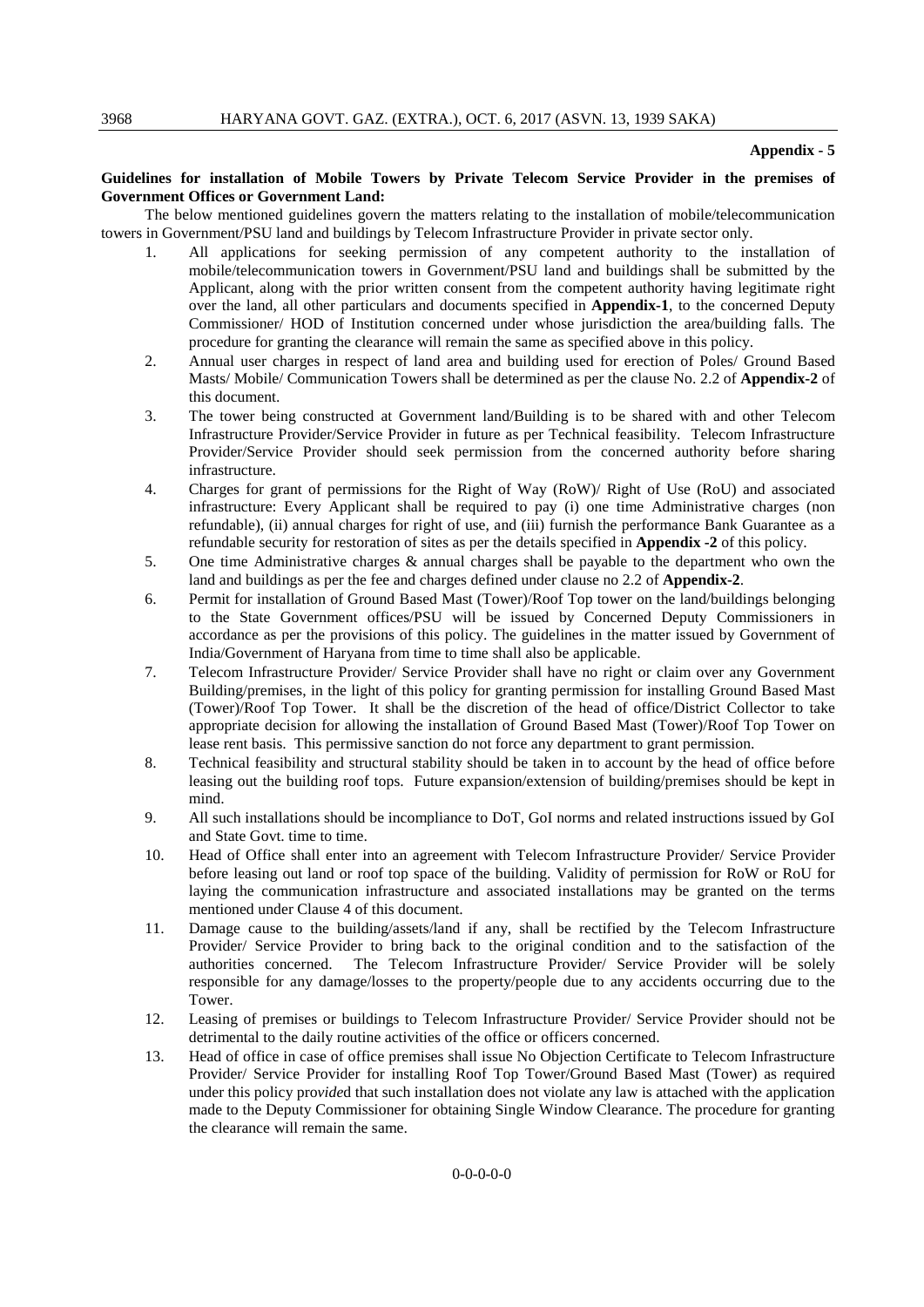#### **Appendix - 5**

#### **Guidelines for installation of Mobile Towers by Private Telecom Service Provider in the premises of Government Offices or Government Land:**

The below mentioned guidelines govern the matters relating to the installation of mobile/telecommunication towers in Government/PSU land and buildings by Telecom Infrastructure Provider in private sector only.

- 1. All applications for seeking permission of any competent authority to the installation of mobile/telecommunication towers in Government/PSU land and buildings shall be submitted by the Applicant, along with the prior written consent from the competent authority having legitimate right over the land, all other particulars and documents specified in **Appendix-1**, to the concerned Deputy Commissioner/ HOD of Institution concerned under whose jurisdiction the area/building falls. The procedure for granting the clearance will remain the same as specified above in this policy.
- 2. Annual user charges in respect of land area and building used for erection of Poles/ Ground Based Masts/ Mobile/ Communication Towers shall be determined as per the clause No. 2.2 of **Appendix-2** of this document.
- 3. The tower being constructed at Government land/Building is to be shared with and other Telecom Infrastructure Provider/Service Provider in future as per Technical feasibility. Telecom Infrastructure Provider/Service Provider should seek permission from the concerned authority before sharing infrastructure.
- 4. Charges for grant of permissions for the Right of Way (RoW)/ Right of Use (RoU) and associated infrastructure: Every Applicant shall be required to pay (i) one time Administrative charges (non refundable), (ii) annual charges for right of use, and (iii) furnish the performance Bank Guarantee as a refundable security for restoration of sites as per the details specified in **Appendix -2** of this policy.
- 5. One time Administrative charges & annual charges shall be payable to the department who own the land and buildings as per the fee and charges defined under clause no 2.2 of **Appendix-2**.
- 6. Permit for installation of Ground Based Mast (Tower)/Roof Top tower on the land/buildings belonging to the State Government offices/PSU will be issued by Concerned Deputy Commissioners in accordance as per the provisions of this policy. The guidelines in the matter issued by Government of India/Government of Haryana from time to time shall also be applicable.
- 7. Telecom Infrastructure Provider/ Service Provider shall have no right or claim over any Government Building/premises, in the light of this policy for granting permission for installing Ground Based Mast (Tower)/Roof Top Tower. It shall be the discretion of the head of office/District Collector to take appropriate decision for allowing the installation of Ground Based Mast (Tower)/Roof Top Tower on lease rent basis. This permissive sanction do not force any department to grant permission.
- 8. Technical feasibility and structural stability should be taken in to account by the head of office before leasing out the building roof tops. Future expansion/extension of building/premises should be kept in mind.
- 9. All such installations should be incompliance to DoT, GoI norms and related instructions issued by GoI and State Govt. time to time.
- 10. Head of Office shall enter into an agreement with Telecom Infrastructure Provider/ Service Provider before leasing out land or roof top space of the building. Validity of permission for RoW or RoU for laying the communication infrastructure and associated installations may be granted on the terms mentioned under Clause 4 of this document.
- 11. Damage cause to the building/assets/land if any, shall be rectified by the Telecom Infrastructure Provider/ Service Provider to bring back to the original condition and to the satisfaction of the authorities concerned. The Telecom Infrastructure Provider/ Service Provider will be solely responsible for any damage/losses to the property/people due to any accidents occurring due to the Tower.
- 12. Leasing of premises or buildings to Telecom Infrastructure Provider/ Service Provider should not be detrimental to the daily routine activities of the office or officers concerned.
- 13. Head of office in case of office premises shall issue No Objection Certificate to Telecom Infrastructure Provider/ Service Provider for installing Roof Top Tower/Ground Based Mast (Tower) as required under this policy pro*vide*d that such installation does not violate any law is attached with the application made to the Deputy Commissioner for obtaining Single Window Clearance. The procedure for granting the clearance will remain the same.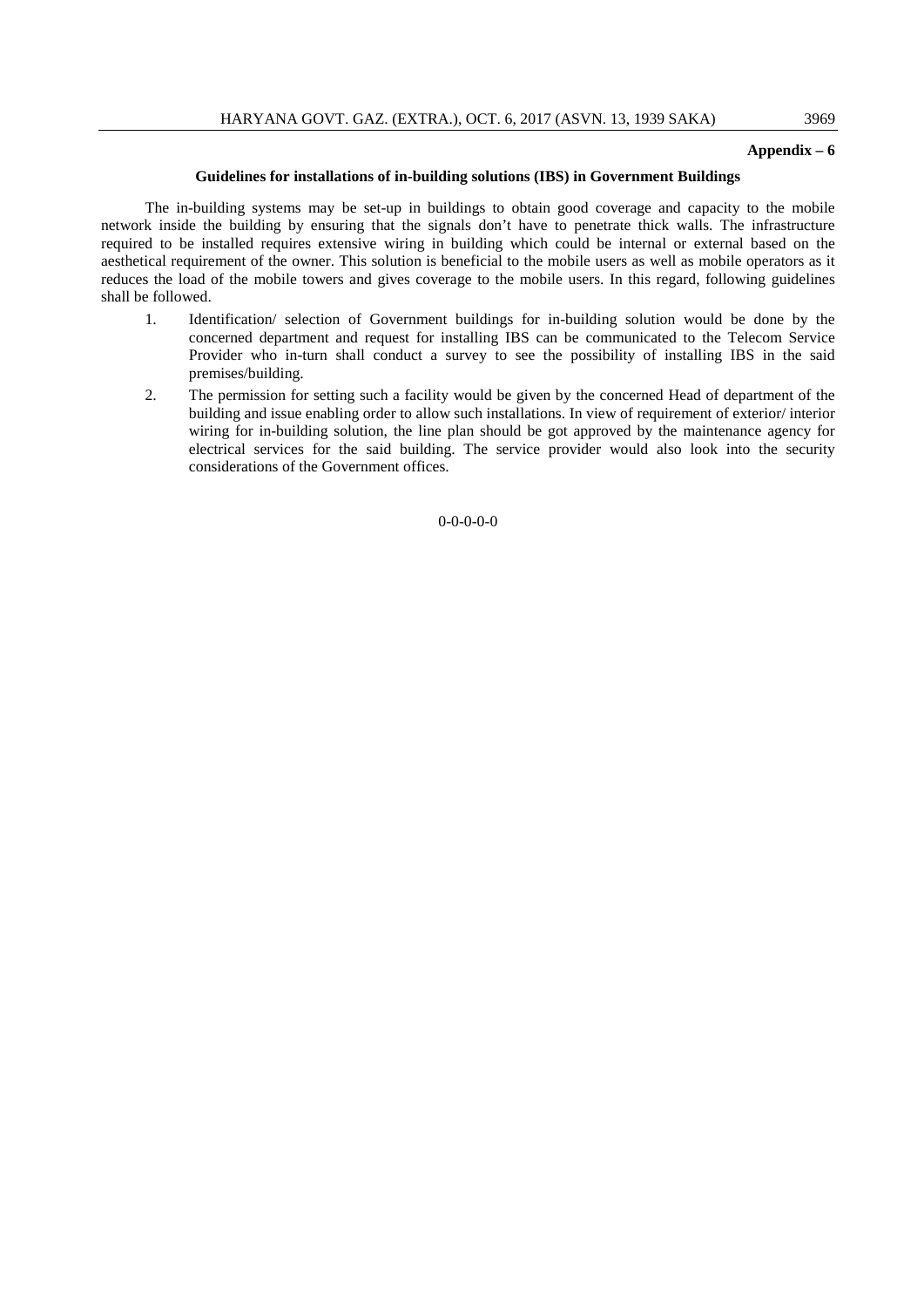# **Appendix – 6**

#### **Guidelines for installations of in-building solutions (IBS) in Government Buildings**

The in-building systems may be set-up in buildings to obtain good coverage and capacity to the mobile network inside the building by ensuring that the signals don't have to penetrate thick walls. The infrastructure required to be installed requires extensive wiring in building which could be internal or external based on the aesthetical requirement of the owner. This solution is beneficial to the mobile users as well as mobile operators as it reduces the load of the mobile towers and gives coverage to the mobile users. In this regard, following guidelines shall be followed.

- 1. Identification/ selection of Government buildings for in-building solution would be done by the concerned department and request for installing IBS can be communicated to the Telecom Service Provider who in-turn shall conduct a survey to see the possibility of installing IBS in the said premises/building.
- 2. The permission for setting such a facility would be given by the concerned Head of department of the building and issue enabling order to allow such installations. In view of requirement of exterior/ interior wiring for in-building solution, the line plan should be got approved by the maintenance agency for electrical services for the said building. The service provider would also look into the security considerations of the Government offices.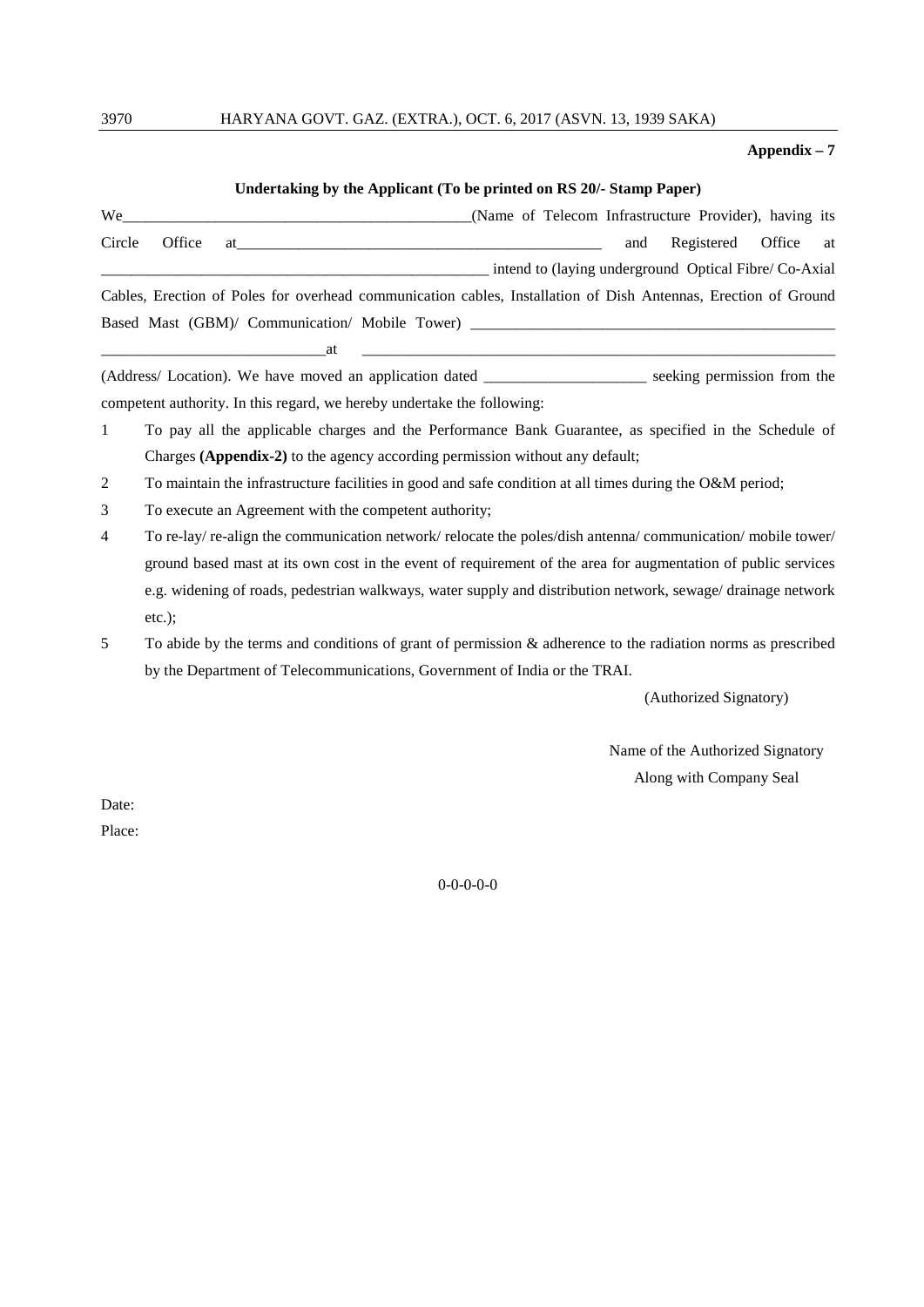# 3970 HARYANA GOVT. GAZ. (EXTRA.), OCT. 6, 2017 (ASVN. 13, 1939 SAKA)

#### **Appendix – 7**

# **Undertaking by the Applicant (To be printed on RS 20/- Stamp Paper)**

| We     |        | (Name of Telecom Infrastructure Provider), having its                                                                                                                                                                          |                          |  |
|--------|--------|--------------------------------------------------------------------------------------------------------------------------------------------------------------------------------------------------------------------------------|--------------------------|--|
| Circle | Office | at the contract of the contract of the contract of the contract of the contract of the contract of the contract of the contract of the contract of the contract of the contract of the contract of the contract of the contrac | and Registered Office at |  |
|        |        | intend to (laying underground Optical Fibre/Co-Axial                                                                                                                                                                           |                          |  |
|        |        | Cables, Erection of Poles for overhead communication cables, Installation of Dish Antennas, Erection of Ground                                                                                                                 |                          |  |
|        |        | Based Mast (GBM)/ Communication/ Mobile Tower) _________________________________                                                                                                                                               |                          |  |

(Address/ Location). We have moved an application dated \_\_\_\_\_\_\_\_\_\_\_\_\_\_\_\_\_\_\_\_\_ seeking permission from the competent authority. In this regard, we hereby undertake the following:

\_\_\_\_\_\_\_\_\_\_\_\_\_\_\_\_\_\_\_\_\_\_\_\_\_\_\_\_\_at \_\_\_\_\_\_\_\_\_\_\_\_\_\_\_\_\_\_\_\_\_\_\_\_\_\_\_\_\_\_\_\_\_\_\_\_\_\_\_\_\_\_\_\_\_\_\_\_\_\_\_\_\_\_\_\_\_\_\_\_\_

- 1 To pay all the applicable charges and the Performance Bank Guarantee, as specified in the Schedule of Charges **(Appendix-2)** to the agency according permission without any default;
- 2 To maintain the infrastructure facilities in good and safe condition at all times during the O&M period;
- 3 To execute an Agreement with the competent authority;
- 4 To re-lay/ re-align the communication network/ relocate the poles/dish antenna/ communication/ mobile tower/ ground based mast at its own cost in the event of requirement of the area for augmentation of public services e.g. widening of roads, pedestrian walkways, water supply and distribution network, sewage/ drainage network etc.);
- 5 To abide by the terms and conditions of grant of permission & adherence to the radiation norms as prescribed by the Department of Telecommunications, Government of India or the TRAI.

(Authorized Signatory)

Name of the Authorized Signatory Along with Company Seal

Date:

Place: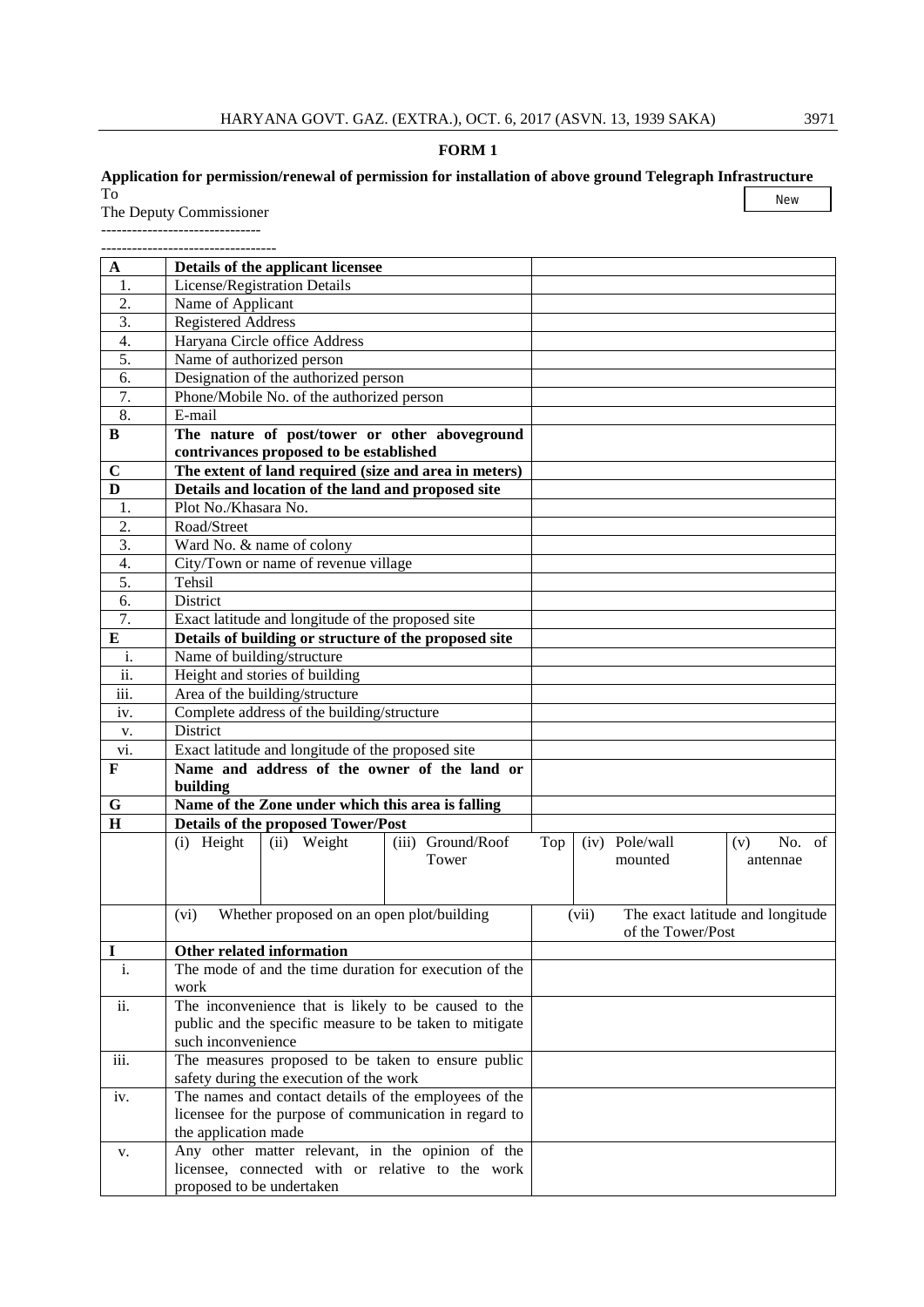# **FORM 1**

# **Application for permission/renewal of permission for installation of above ground Telegraph Infrastructure** To

The Deputy Commissioner

------------------------------- ----------------------------------

| A                 | Details of the applicant licensee                                              |                                           |
|-------------------|--------------------------------------------------------------------------------|-------------------------------------------|
| 1.                | License/Registration Details                                                   |                                           |
| 2.                | Name of Applicant                                                              |                                           |
| 3.                | <b>Registered Address</b>                                                      |                                           |
| 4.                | Haryana Circle office Address                                                  |                                           |
| 5.                | Name of authorized person                                                      |                                           |
| 6.                | Designation of the authorized person                                           |                                           |
| 7.                | Phone/Mobile No. of the authorized person                                      |                                           |
| 8.                | E-mail                                                                         |                                           |
| B                 | The nature of post/tower or other aboveground                                  |                                           |
|                   | contrivances proposed to be established                                        |                                           |
| $\mathbf C$       | The extent of land required (size and area in meters)                          |                                           |
| D                 | Details and location of the land and proposed site                             |                                           |
| 1.                | Plot No./Khasara No.                                                           |                                           |
| 2.                | Road/Street                                                                    |                                           |
| 3.                | Ward No. & name of colony                                                      |                                           |
| 4.                | City/Town or name of revenue village                                           |                                           |
| 5.                | Tehsil                                                                         |                                           |
| 6.                | District                                                                       |                                           |
| 7.                | Exact latitude and longitude of the proposed site                              |                                           |
| $\bf{E}$          | Details of building or structure of the proposed site                          |                                           |
| i.                | Name of building/structure                                                     |                                           |
| $\overline{ii}$ . | Height and stories of building                                                 |                                           |
| iii.              | Area of the building/structure                                                 |                                           |
| iv.               | Complete address of the building/structure                                     |                                           |
| V.                | District                                                                       |                                           |
| vi.               | Exact latitude and longitude of the proposed site                              |                                           |
| F                 | Name and address of the owner of the land or                                   |                                           |
|                   | building                                                                       |                                           |
| $\mathbf G$       | Name of the Zone under which this area is falling                              |                                           |
| H                 | <b>Details of the proposed Tower/Post</b>                                      |                                           |
|                   | (i) Height<br>(ii) Weight<br>(iii) Ground/Roof                                 | (iv) Pole/wall<br>No. of<br>Top<br>(v)    |
|                   | Tower                                                                          | mounted<br>antennae                       |
|                   |                                                                                |                                           |
|                   |                                                                                |                                           |
|                   | Whether proposed on an open plot/building<br>(vi)                              | The exact latitude and longitude<br>(vii) |
|                   |                                                                                | of the Tower/Post                         |
| T                 | Other related information                                                      |                                           |
| i.                | The mode of and the time duration for execution of the                         |                                           |
|                   | work                                                                           |                                           |
| ii.               | The inconvenience that is likely to be caused to the                           |                                           |
|                   | public and the specific measure to be taken to mitigate                        |                                           |
|                   | such inconvenience                                                             |                                           |
| iii.              | The measures proposed to be taken to ensure public                             |                                           |
|                   | safety during the execution of the work                                        |                                           |
| iv.               | The names and contact details of the employees of the                          |                                           |
|                   | licensee for the purpose of communication in regard to<br>the application made |                                           |
|                   | Any other matter relevant, in the opinion of the                               |                                           |
| v.                | licensee, connected with or relative to the work                               |                                           |
|                   | proposed to be undertaken                                                      |                                           |
|                   |                                                                                |                                           |

New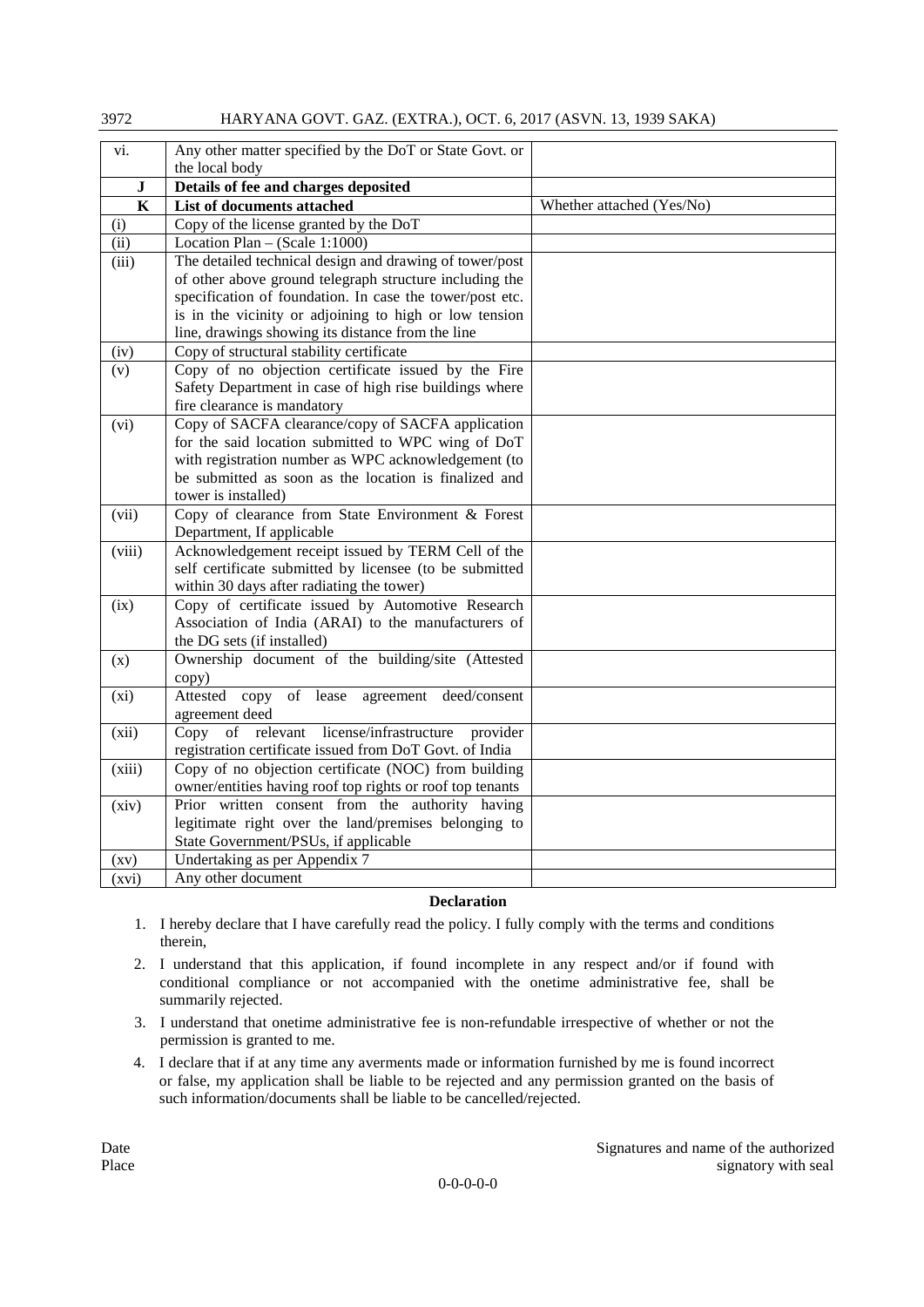| 37 I Z    | TIAN I AIVA OO V T. OAZ. (EATNA.), OCT. 0, 2017 (AS VIV. T.), 1757 SANA) |                           |
|-----------|--------------------------------------------------------------------------|---------------------------|
| vi.       | Any other matter specified by the DoT or State Govt. or                  |                           |
|           | the local body                                                           |                           |
| ${\bf J}$ | Details of fee and charges deposited                                     |                           |
| $\bf K$   | List of documents attached                                               | Whether attached (Yes/No) |
| (i)       | Copy of the license granted by the DoT                                   |                           |
| (ii)      | Location Plan $-$ (Scale 1:1000)                                         |                           |
| (iii)     | The detailed technical design and drawing of tower/post                  |                           |
|           | of other above ground telegraph structure including the                  |                           |
|           | specification of foundation. In case the tower/post etc.                 |                           |
|           | is in the vicinity or adjoining to high or low tension                   |                           |
|           | line, drawings showing its distance from the line                        |                           |
| (iv)      | Copy of structural stability certificate                                 |                           |
| (v)       | Copy of no objection certificate issued by the Fire                      |                           |
|           | Safety Department in case of high rise buildings where                   |                           |
|           | fire clearance is mandatory                                              |                           |
| (vi)      | Copy of SACFA clearance/copy of SACFA application                        |                           |
|           | for the said location submitted to WPC wing of DoT                       |                           |
|           | with registration number as WPC acknowledgement (to                      |                           |
|           | be submitted as soon as the location is finalized and                    |                           |
|           | tower is installed)                                                      |                           |
| (vii)     | Copy of clearance from State Environment & Forest                        |                           |
|           | Department, If applicable                                                |                           |
| (viii)    | Acknowledgement receipt issued by TERM Cell of the                       |                           |
|           | self certificate submitted by licensee (to be submitted                  |                           |
|           | within 30 days after radiating the tower)                                |                           |
| (ix)      | Copy of certificate issued by Automotive Research                        |                           |
|           | Association of India (ARAI) to the manufacturers of                      |                           |
|           | the DG sets (if installed)                                               |                           |
| (x)       | Ownership document of the building/site (Attested                        |                           |
| (xi)      | copy)<br>Attested copy of lease<br>agreement deed/consent                |                           |
|           | agreement deed                                                           |                           |
| (xii)     | Copy of relevant<br>license/infrastructure<br>provider                   |                           |
|           | registration certificate issued from DoT Govt. of India                  |                           |
| (xiii)    | Copy of no objection certificate (NOC) from building                     |                           |
|           | owner/entities having roof top rights or roof top tenants                |                           |
| (xiv)     | Prior written consent from the authority having                          |                           |
|           | legitimate right over the land/premises belonging to                     |                           |
|           | State Government/PSUs, if applicable                                     |                           |
| (xv)      | Undertaking as per Appendix 7                                            |                           |
| (xvi)     | Any other document                                                       |                           |

 $3072$  HARYANA GOVT. GAZ. (EVTRA.), OCT. 6, 2017 (ASVN. 12, 1020 SAVA)

# **Declaration**

- 1. I hereby declare that I have carefully read the policy. I fully comply with the terms and conditions therein,
- 2. I understand that this application, if found incomplete in any respect and/or if found with conditional compliance or not accompanied with the onetime administrative fee, shall be summarily rejected.
- 3. I understand that onetime administrative fee is non-refundable irrespective of whether or not the permission is granted to me.
- 4. I declare that if at any time any averments made or information furnished by me is found incorrect or false, my application shall be liable to be rejected and any permission granted on the basis of such information/documents shall be liable to be cancelled/rejected.

Date Signatures and name of the authorized Place signatory with seal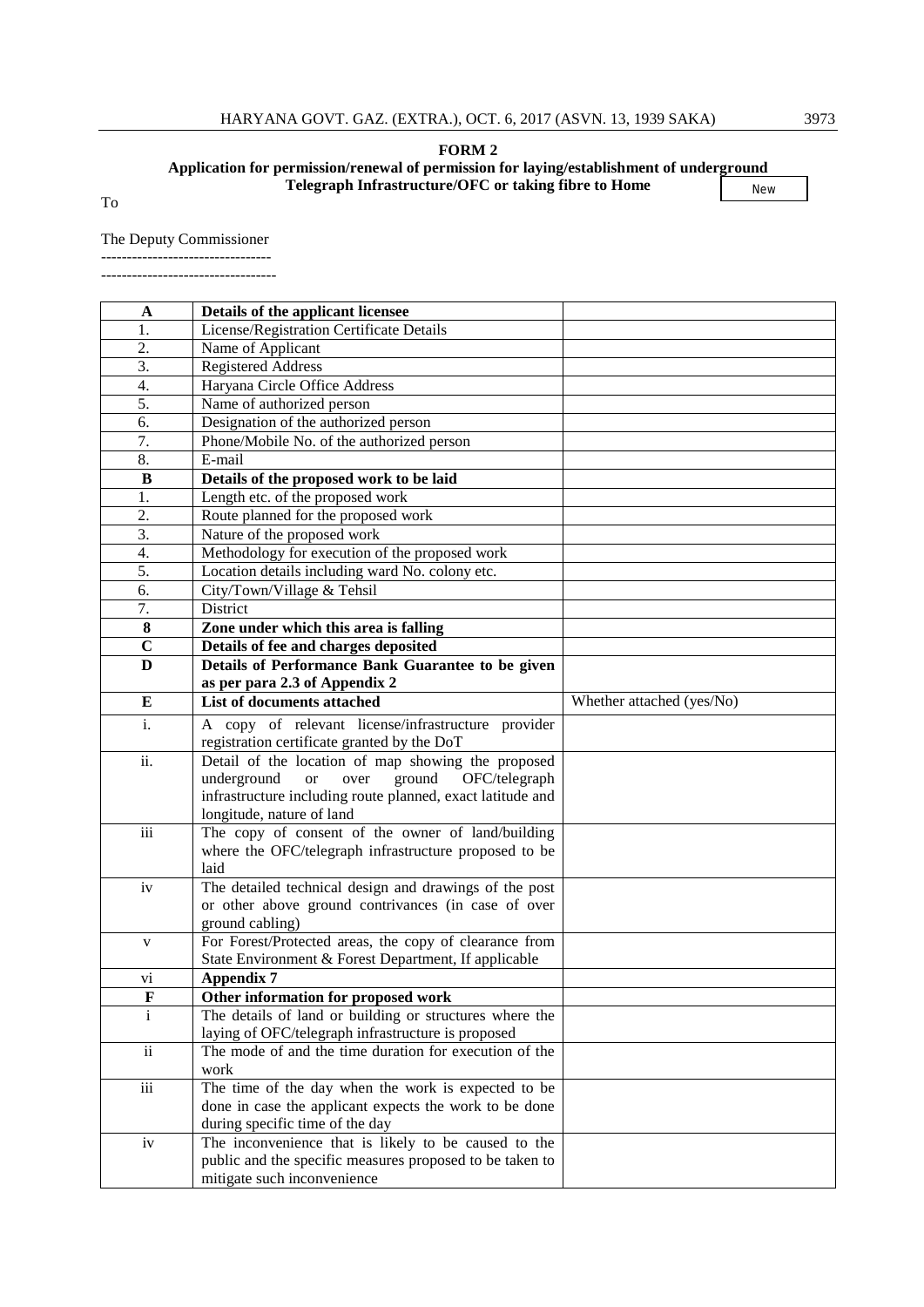# **FORM 2**

#### **Application for permission/renewal of permission for laying/establishment of underground Telegraph Infrastructure/OFC or taking fibre to Home** New

To

#### The Deputy Commissioner

---------------------------------

----------------------------------

| A                       | Details of the applicant licensee                                                                            |                           |
|-------------------------|--------------------------------------------------------------------------------------------------------------|---------------------------|
| 1.                      | License/Registration Certificate Details                                                                     |                           |
| 2.                      | Name of Applicant                                                                                            |                           |
| 3.                      | <b>Registered Address</b>                                                                                    |                           |
| 4.                      | Haryana Circle Office Address                                                                                |                           |
| 5.                      | Name of authorized person                                                                                    |                           |
| 6.                      | Designation of the authorized person                                                                         |                           |
| 7.                      | Phone/Mobile No. of the authorized person                                                                    |                           |
| 8.                      | E-mail                                                                                                       |                           |
| B                       | Details of the proposed work to be laid                                                                      |                           |
| 1.                      | Length etc. of the proposed work                                                                             |                           |
| 2.                      | Route planned for the proposed work                                                                          |                           |
| 3.                      | Nature of the proposed work                                                                                  |                           |
| 4.                      | Methodology for execution of the proposed work                                                               |                           |
| 5.                      | Location details including ward No. colony etc.                                                              |                           |
| 6.                      | City/Town/Village & Tehsil                                                                                   |                           |
| $\overline{7}$ .        | District                                                                                                     |                           |
| $\bf{8}$                | Zone under which this area is falling                                                                        |                           |
| $\overline{\mathbf{C}}$ | Details of fee and charges deposited                                                                         |                           |
| $\bf{D}$                | Details of Performance Bank Guarantee to be given                                                            |                           |
|                         | as per para 2.3 of Appendix 2                                                                                |                           |
| E                       | List of documents attached                                                                                   | Whether attached (yes/No) |
| i.                      | A copy of relevant license/infrastructure provider                                                           |                           |
|                         | registration certificate granted by the DoT                                                                  |                           |
| ii.                     | Detail of the location of map showing the proposed                                                           |                           |
|                         | underground<br>ground<br><b>or</b><br>over<br>OFC/telegraph                                                  |                           |
|                         | infrastructure including route planned, exact latitude and                                                   |                           |
|                         | longitude, nature of land                                                                                    |                           |
| $\overline{iii}$        | The copy of consent of the owner of land/building                                                            |                           |
|                         | where the OFC/telegraph infrastructure proposed to be                                                        |                           |
|                         | laid                                                                                                         |                           |
| iv                      | The detailed technical design and drawings of the post                                                       |                           |
|                         | or other above ground contrivances (in case of over                                                          |                           |
|                         | ground cabling)                                                                                              |                           |
| V                       | For Forest/Protected areas, the copy of clearance from                                                       |                           |
|                         | State Environment & Forest Department, If applicable                                                         |                           |
| V1                      | <b>Appendix 7</b>                                                                                            |                           |
| F                       | Other information for proposed work                                                                          |                           |
| $\mathbf{i}$            | The details of land or building or structures where the                                                      |                           |
| $\mathbf{ii}$           | laying of OFC/telegraph infrastructure is proposed<br>The mode of and the time duration for execution of the |                           |
|                         | work                                                                                                         |                           |
| $\overline{\text{iii}}$ | The time of the day when the work is expected to be                                                          |                           |
|                         |                                                                                                              |                           |
|                         | done in case the applicant expects the work to be done<br>during specific time of the day                    |                           |
| iv                      | The inconvenience that is likely to be caused to the                                                         |                           |
|                         | public and the specific measures proposed to be taken to                                                     |                           |
|                         | mitigate such inconvenience                                                                                  |                           |
|                         |                                                                                                              |                           |